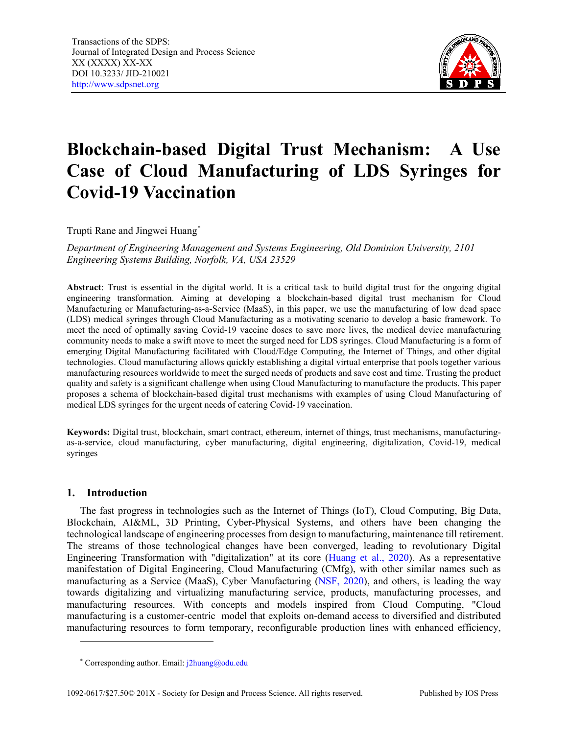

# **Blockchain-based Digital Trust Mechanism: A Use Case of Cloud Manufacturing of LDS Syringes for Covid-19 Vaccination**

Trupti Rane and Jingwei Huang[\\*](#page-0-0)

*Department of Engineering Management and Systems Engineering, Old Dominion University, 2101 Engineering Systems Building, Norfolk, VA, USA 23529*

**Abstract**: Trust is essential in the digital world. It is a critical task to build digital trust for the ongoing digital engineering transformation. Aiming at developing a blockchain-based digital trust mechanism for Cloud Manufacturing or Manufacturing-as-a-Service (MaaS), in this paper, we use the manufacturing of low dead space (LDS) medical syringes through Cloud Manufacturing as a motivating scenario to develop a basic framework. To meet the need of optimally saving Covid-19 vaccine doses to save more lives, the medical device manufacturing community needs to make a swift move to meet the surged need for LDS syringes. Cloud Manufacturing is a form of emerging Digital Manufacturing facilitated with Cloud/Edge Computing, the Internet of Things, and other digital technologies. Cloud manufacturing allows quickly establishing a digital virtual enterprise that pools together various manufacturing resources worldwide to meet the surged needs of products and save cost and time. Trusting the product quality and safety is a significant challenge when using Cloud Manufacturing to manufacture the products. This paper proposes a schema of blockchain-based digital trust mechanisms with examples of using Cloud Manufacturing of medical LDS syringes for the urgent needs of catering Covid-19 vaccination.

**Keywords:** Digital trust, blockchain, smart contract, ethereum, internet of things, trust mechanisms, manufacturingas-a-service, cloud manufacturing, cyber manufacturing, digital engineering, digitalization, Covid-19, medical syringes

# **1. Introduction**

The fast progress in technologies such as the Internet of Things (IoT), Cloud Computing, Big Data, Blockchain, AI&ML, 3D Printing, Cyber-Physical Systems, and others have been changing the technological landscape of engineering processes from design to manufacturing, maintenance till retirement. The streams of those technological changes have been converged, leading to revolutionary Digital Engineering Transformation with "digitalization" at its core [\(Huang et al., 2020\)](#page-23-0). As a representative manifestation of Digital Engineering, Cloud Manufacturing (CMfg), with other similar names such as manufacturing as a Service (MaaS), Cyber Manufacturing [\(NSF, 2020\)](#page-24-0), and others, is leading the way towards digitalizing and virtualizing manufacturing service, products, manufacturing processes, and manufacturing resources. With concepts and models inspired from Cloud Computing, "Cloud manufacturing is a customer-centric model that exploits on-demand access to diversified and distributed manufacturing resources to form temporary, reconfigurable production lines with enhanced efficiency,

<span id="page-0-0"></span><sup>\*</sup> Corresponding author. Email: [j2huang@odu.edu](mailto:j2huang@odu.edu)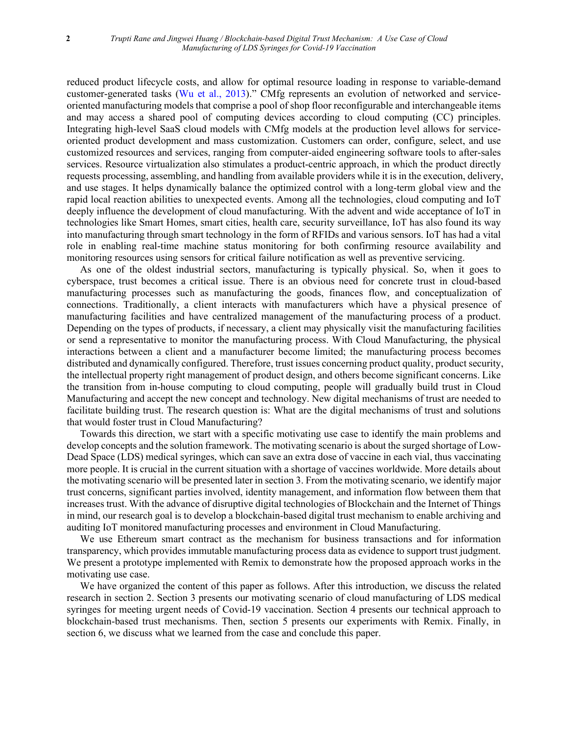reduced product lifecycle costs, and allow for optimal resource loading in response to variable-demand customer-generated tasks [\(Wu et al., 2013\)](#page-25-0)." CMfg represents an evolution of networked and serviceoriented manufacturing models that comprise a pool of shop floor reconfigurable and interchangeable items and may access a shared pool of computing devices according to cloud computing (CC) principles. Integrating high-level SaaS cloud models with CMfg models at the production level allows for serviceoriented product development and mass customization. Customers can order, configure, select, and use customized resources and services, ranging from computer-aided engineering software tools to after-sales services. Resource virtualization also stimulates a product-centric approach, in which the product directly requests processing, assembling, and handling from available providers while it is in the execution, delivery, and use stages. It helps dynamically balance the optimized control with a long-term global view and the rapid local reaction abilities to unexpected events. Among all the technologies, cloud computing and IoT deeply influence the development of cloud manufacturing. With the advent and wide acceptance of IoT in technologies like Smart Homes, smart cities, health care, security surveillance, IoT has also found its way into manufacturing through smart technology in the form of RFIDs and various sensors. IoT has had a vital role in enabling real-time machine status monitoring for both confirming resource availability and monitoring resources using sensors for critical failure notification as well as preventive servicing.

As one of the oldest industrial sectors, manufacturing is typically physical. So, when it goes to cyberspace, trust becomes a critical issue. There is an obvious need for concrete trust in cloud-based manufacturing processes such as manufacturing the goods, finances flow, and conceptualization of connections. Traditionally, a client interacts with manufacturers which have a physical presence of manufacturing facilities and have centralized management of the manufacturing process of a product. Depending on the types of products, if necessary, a client may physically visit the manufacturing facilities or send a representative to monitor the manufacturing process. With Cloud Manufacturing, the physical interactions between a client and a manufacturer become limited; the manufacturing process becomes distributed and dynamically configured. Therefore, trust issues concerning product quality, product security, the intellectual property right management of product design, and others become significant concerns. Like the transition from in-house computing to cloud computing, people will gradually build trust in Cloud Manufacturing and accept the new concept and technology. New digital mechanisms of trust are needed to facilitate building trust. The research question is: What are the digital mechanisms of trust and solutions that would foster trust in Cloud Manufacturing?

Towards this direction, we start with a specific motivating use case to identify the main problems and develop concepts and the solution framework. The motivating scenario is about the surged shortage of Low-Dead Space (LDS) medical syringes, which can save an extra dose of vaccine in each vial, thus vaccinating more people. It is crucial in the current situation with a shortage of vaccines worldwide. More details about the motivating scenario will be presented later in section 3. From the motivating scenario, we identify major trust concerns, significant parties involved, identity management, and information flow between them that increases trust. With the advance of disruptive digital technologies of Blockchain and the Internet of Things in mind, our research goal is to develop a blockchain-based digital trust mechanism to enable archiving and auditing IoT monitored manufacturing processes and environment in Cloud Manufacturing.

We use Ethereum smart contract as the mechanism for business transactions and for information transparency, which provides immutable manufacturing process data as evidence to support trust judgment. We present a prototype implemented with Remix to demonstrate how the proposed approach works in the motivating use case.

We have organized the content of this paper as follows. After this introduction, we discuss the related research in section 2. Section 3 presents our motivating scenario of cloud manufacturing of LDS medical syringes for meeting urgent needs of Covid-19 vaccination. Section 4 presents our technical approach to blockchain-based trust mechanisms. Then, section 5 presents our experiments with Remix. Finally, in section 6, we discuss what we learned from the case and conclude this paper.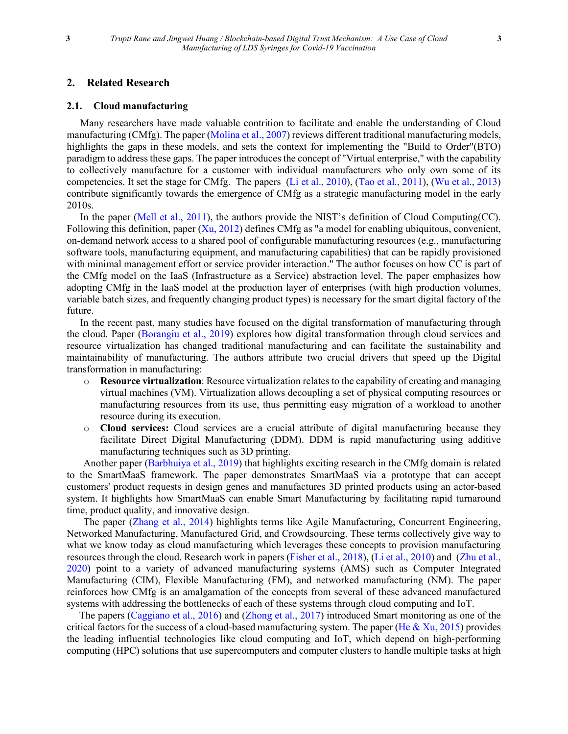## **2. Related Research**

#### **2.1. Cloud manufacturing**

Many researchers have made valuable contrition to facilitate and enable the understanding of Cloud manufacturing (CMfg). The paper [\(Molina et al., 2007\)](#page-24-1) reviews different traditional manufacturing models, highlights the gaps in these models, and sets the context for implementing the "Build to Order"(BTO) paradigm to address these gaps. The paper introduces the concept of "Virtual enterprise," with the capability to collectively manufacture for a customer with individual manufacturers who only own some of its competencies. It set the stage for CMfg. The papers [\(Li et al., 2010\)](#page-24-2), [\(Tao et al., 2011\)](#page-24-3), [\(Wu et al., 2013\)](#page-25-0) contribute significantly towards the emergence of CMfg as a strategic manufacturing model in the early 2010s.

In the paper [\(Mell et al., 2011\)](#page-24-4), the authors provide the NIST's definition of Cloud Computing(CC). Following this definition, paper [\(Xu, 2012\)](#page-25-1) defines CMfg as "a model for enabling ubiquitous, convenient, on-demand network access to a shared pool of configurable manufacturing resources (e.g., manufacturing software tools, manufacturing equipment, and manufacturing capabilities) that can be rapidly provisioned with minimal management effort or service provider interaction." The author focuses on how CC is part of the CMfg model on the IaaS (Infrastructure as a Service) abstraction level. The paper emphasizes how adopting CMfg in the IaaS model at the production layer of enterprises (with high production volumes, variable batch sizes, and frequently changing product types) is necessary for the smart digital factory of the future.

In the recent past, many studies have focused on the digital transformation of manufacturing through the cloud. Paper [\(Borangiu et al., 2019\)](#page-23-1) explores how digital transformation through cloud services and resource virtualization has changed traditional manufacturing and can facilitate the sustainability and maintainability of manufacturing. The authors attribute two crucial drivers that speed up the Digital transformation in manufacturing:

- o **Resource virtualization**: Resource virtualization relates to the capability of creating and managing virtual machines (VM). Virtualization allows decoupling a set of physical computing resources or manufacturing resources from its use, thus permitting easy migration of a workload to another resource during its execution.
- o **Cloud services:** Cloud services are a crucial attribute of digital manufacturing because they facilitate Direct Digital Manufacturing (DDM). DDM is rapid manufacturing using additive manufacturing techniques such as 3D printing.

Another paper [\(Barbhuiya et al., 2019\)](#page-23-2) that highlights exciting research in the CMfg domain is related to the SmartMaaS framework. The paper demonstrates SmartMaaS via a prototype that can accept customers' product requests in design genes and manufactures 3D printed products using an actor-based system. It highlights how SmartMaaS can enable Smart Manufacturing by facilitating rapid turnaround time, product quality, and innovative design.

The paper [\(Zhang et al., 2014\)](#page-25-2) highlights terms like Agile Manufacturing, Concurrent Engineering, Networked Manufacturing, Manufactured Grid, and Crowdsourcing. These terms collectively give way to what we know today as cloud manufacturing which leverages these concepts to provision manufacturing resources through the cloud. Research work in papers [\(Fisher et al., 2018\)](#page-23-3), [\(Li et al., 2010\)](#page-24-2) and [\(Zhu et al.,](#page-25-3)  [2020\)](#page-25-3) point to a variety of advanced manufacturing systems (AMS) such as Computer Integrated Manufacturing (CIM), Flexible Manufacturing (FM), and networked manufacturing (NM). The paper reinforces how CMfg is an amalgamation of the concepts from several of these advanced manufactured systems with addressing the bottlenecks of each of these systems through cloud computing and IoT.

The papers [\(Caggiano et al., 2016\)](#page-23-4) and [\(Zhong et al.,](#page-25-4) 2017) introduced Smart monitoring as one of the critical factors for the success of a cloud-based manufacturing system. The paper (He  $& Xu, 2015$ ) provides the leading influential technologies like cloud computing and IoT, which depend on high-performing computing (HPC) solutions that use supercomputers and computer clusters to handle multiple tasks at high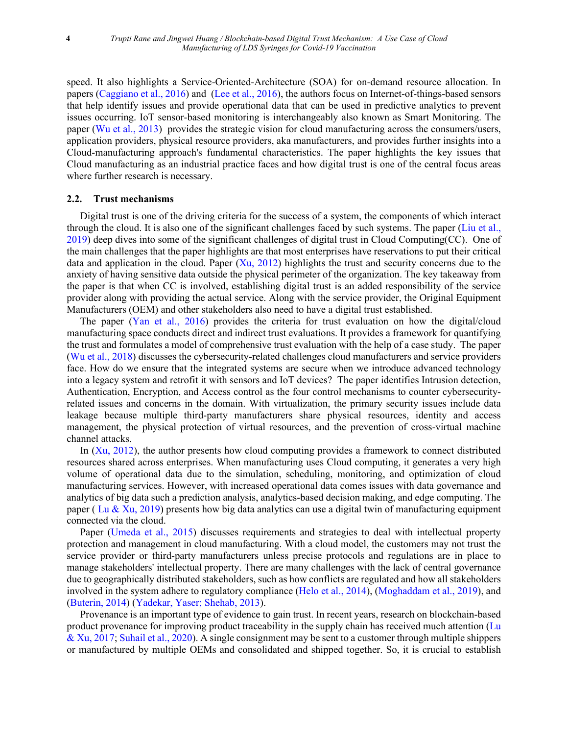speed. It also highlights a Service-Oriented-Architecture (SOA) for on-demand resource allocation. In papers [\(Caggiano et al., 2016\)](#page-23-4) and [\(Lee et al., 2016\)](#page-24-5), the authors focus on Internet-of-things-based sensors that help identify issues and provide operational data that can be used in predictive analytics to prevent issues occurring. IoT sensor-based monitoring is interchangeably also known as Smart Monitoring. The paper [\(Wu et al., 2013\)](#page-25-0) provides the strategic vision for cloud manufacturing across the consumers/users, application providers, physical resource providers, aka manufacturers, and provides further insights into a Cloud-manufacturing approach's fundamental characteristics. The paper highlights the key issues that Cloud manufacturing as an industrial practice faces and how digital trust is one of the central focus areas where further research is necessary.

#### **2.2. Trust mechanisms**

Digital trust is one of the driving criteria for the success of a system, the components of which interact through the cloud. It is also one of the significant challenges faced by such systems. The paper [\(Liu et al.,](#page-24-6)  [2019\)](#page-24-6) deep dives into some of the significant challenges of digital trust in Cloud Computing(CC). One of the main challenges that the paper highlights are that most enterprises have reservations to put their critical data and application in the cloud. Paper  $(Xu, 2012)$  highlights the trust and security concerns due to the anxiety of having sensitive data outside the physical perimeter of the organization. The key takeaway from the paper is that when CC is involved, establishing digital trust is an added responsibility of the service provider along with providing the actual service. Along with the service provider, the Original Equipment Manufacturers (OEM) and other stakeholders also need to have a digital trust established.

The paper [\(Yan et al., 2016\)](#page-25-5) provides the criteria for trust evaluation on how the digital/cloud manufacturing space conducts direct and indirect trust evaluations. It provides a framework for quantifying the trust and formulates a model of comprehensive trust evaluation with the help of a case study. The paper [\(Wu et al., 2018\)](#page-25-6) discusses the cybersecurity-related challenges cloud manufacturers and service providers face. How do we ensure that the integrated systems are secure when we introduce advanced technology into a legacy system and retrofit it with sensors and IoT devices? The paper identifies Intrusion detection, Authentication, Encryption, and Access control as the four control mechanisms to counter cybersecurityrelated issues and concerns in the domain. With virtualization, the primary security issues include data leakage because multiple third-party manufacturers share physical resources, identity and access management, the physical protection of virtual resources, and the prevention of cross-virtual machine channel attacks.

In [\(Xu, 2012\)](#page-25-1), the author presents how cloud computing provides a framework to connect distributed resources shared across enterprises. When manufacturing uses Cloud computing, it generates a very high volume of operational data due to the simulation, scheduling, monitoring, and optimization of cloud manufacturing services. However, with increased operational data comes issues with data governance and analytics of big data such a prediction analysis, analytics-based decision making, and edge computing. The paper ( [Lu & Xu, 2019\)](#page-24-7) presents how big data analytics can use a digital twin of manufacturing equipment connected via the cloud.

Paper [\(Umeda et al., 2015\)](#page-24-8) discusses requirements and strategies to deal with intellectual property protection and management in cloud manufacturing. With a cloud model, the customers may not trust the service provider or third-party manufacturers unless precise protocols and regulations are in place to manage stakeholders' intellectual property. There are many challenges with the lack of central governance due to geographically distributed stakeholders, such as how conflicts are regulated and how all stakeholders involved in the system adhere to regulatory compliance [\(Helo et al., 2014\)](#page-23-6), [\(Moghaddam et al., 2019\)](#page-24-9), and [\(Buterin, 2014\)](#page-23-7) [\(Yadekar, Yaser; Shehab, 2013\)](#page-25-7).

Provenance is an important type of evidence to gain trust. In recent years, research on blockchain-based product provenance for improving product traceability in the supply chain has received much attention [\(Lu](#page-24-10)  [& Xu, 2017;](#page-24-10) [Suhail et al., 2020\)](#page-24-11). A single consignment may be sent to a customer through multiple shippers or manufactured by multiple OEMs and consolidated and shipped together. So, it is crucial to establish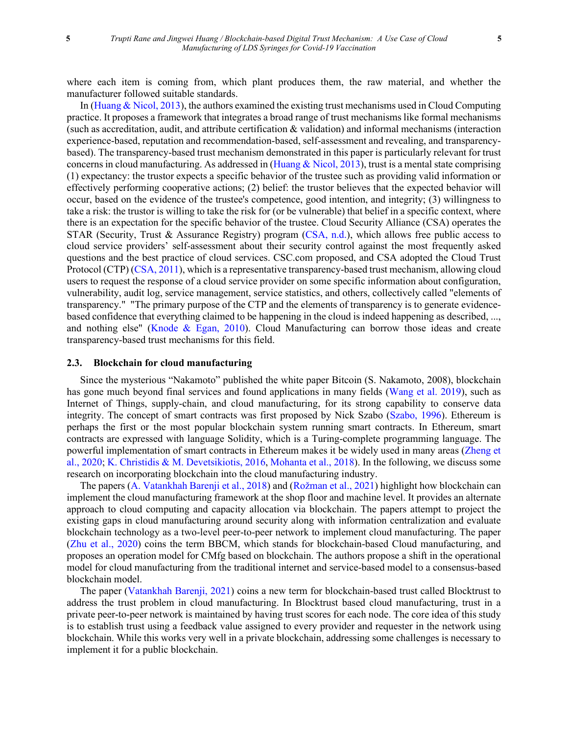where each item is coming from, which plant produces them, the raw material, and whether the manufacturer followed suitable standards.

In [\(Huang & Nicol, 2013\)](#page-23-8), the authors examined the existing trust mechanisms used in Cloud Computing practice. It proposes a framework that integrates a broad range of trust mechanisms like formal mechanisms (such as accreditation, audit, and attribute certification & validation) and informal mechanisms (interaction experience-based, reputation and recommendation-based, self-assessment and revealing, and transparencybased). The transparency-based trust mechanism demonstrated in this paper is particularly relevant for trust concerns in cloud manufacturing. As addressed in [\(Huang & Nicol, 2013\)](#page-23-8), trust is a mental state comprising (1) expectancy: the trustor expects a specific behavior of the trustee such as providing valid information or effectively performing cooperative actions; (2) belief: the trustor believes that the expected behavior will occur, based on the evidence of the trustee's competence, good intention, and integrity; (3) willingness to take a risk: the trustor is willing to take the risk for (or be vulnerable) that belief in a specific context, where there is an expectation for the specific behavior of the trustee. Cloud Security Alliance (CSA) operates the STAR (Security, Trust & Assurance Registry) program [\(CSA, n.d.\)](#page-23-9), which allows free public access to cloud service providers' self-assessment about their security control against the most frequently asked questions and the best practice of cloud services. CSC.com proposed, and CSA adopted the Cloud Trust Protocol (CTP) [\(CSA, 2011\)](#page-23-10), which is a representative transparency-based trust mechanism, allowing cloud users to request the response of a cloud service provider on some specific information about configuration, vulnerability, audit log, service management, service statistics, and others, collectively called "elements of transparency." "The primary purpose of the CTP and the elements of transparency is to generate evidencebased confidence that everything claimed to be happening in the cloud is indeed happening as described, ..., and nothing else" [\(Knode & Egan, 2010\)](#page-23-11). Cloud Manufacturing can borrow those ideas and create transparency-based trust mechanisms for this field.

#### **2.3. Blockchain for cloud manufacturing**

Since the mysterious "Nakamoto" published the white paper Bitcoin (S. Nakamoto, 2008), blockchain has gone much beyond final services and found applications in many fields [\(Wang et al. 2019\)](#page-25-0), such as Internet of Things, supply-chain, and cloud manufacturing, for its strong capability to conserve data integrity. The concept of smart contracts was first proposed by Nick Szabo [\(Szabo, 1996\)](#page-24-12). Ethereum is perhaps the first or the most popular blockchain system running smart contracts. In Ethereum, smart contracts are expressed with language Solidity, which is a Turing-complete programming language. The powerful implementation of smart contracts in Ethereum makes it be widely used in many areas [\(Zheng et](#page-25-8)  [al., 2020;](#page-25-8) K. Christidis [& M. Devetsikiotis, 2016,](#page-23-12) [Mohanta et al., 2018\)](#page-24-13). In the following, we discuss some research on incorporating blockchain into the cloud manufacturing industry.

The papers [\(A. Vatankhah Barenji et al., 2018\)](#page-24-14) and ([Rožman et al., 2021](#page-24-15)) highlight how blockchain can implement the cloud manufacturing framework at the shop floor and machine level. It provides an alternate approach to cloud computing and capacity allocation via blockchain. The papers attempt to project the existing gaps in cloud manufacturing around security along with information centralization and evaluate blockchain technology as a two-level peer-to-peer network to implement cloud manufacturing. The paper [\(Zhu et al., 2020\)](#page-25-3) coins the term BBCM, which stands for blockchain-based Cloud manufacturing, and proposes an operation model for CMfg based on blockchain. The authors propose a shift in the operational model for cloud manufacturing from the traditional internet and service-based model to a consensus-based blockchain model.

The paper (Vatankhah [Barenji, 2021\)](#page-25-9) coins a new term for blockchain-based trust called Blocktrust to address the trust problem in cloud manufacturing. In Blocktrust based cloud manufacturing, trust in a private peer-to-peer network is maintained by having trust scores for each node. The core idea of this study is to establish trust using a feedback value assigned to every provider and requester in the network using blockchain. While this works very well in a private blockchain, addressing some challenges is necessary to implement it for a public blockchain.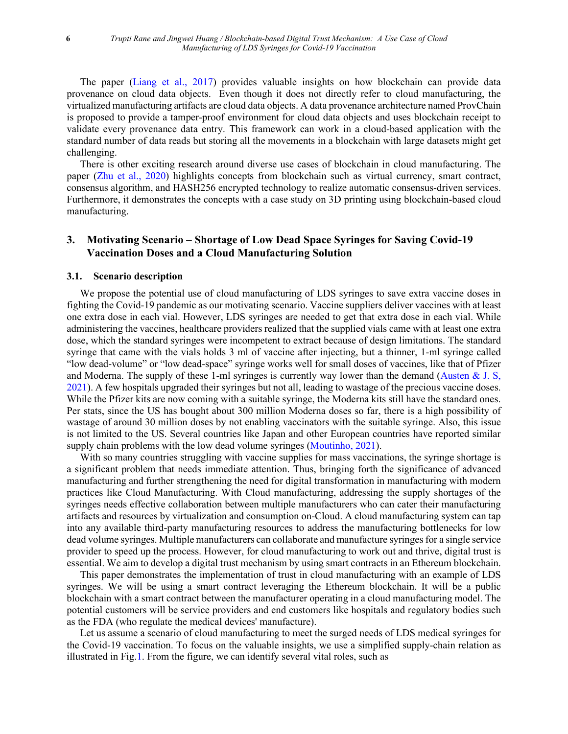The paper [\(Liang et al., 2017\)](#page-24-16) provides valuable insights on how blockchain can provide data provenance on cloud data objects. Even though it does not directly refer to cloud manufacturing, the virtualized manufacturing artifacts are cloud data objects. A data provenance architecture named ProvChain is proposed to provide a tamper-proof environment for cloud data objects and uses blockchain receipt to validate every provenance data entry. This framework can work in a cloud-based application with the standard number of data reads but storing all the movements in a blockchain with large datasets might get challenging.

There is other exciting research around diverse use cases of blockchain in cloud manufacturing. The paper [\(Zhu et al., 2020\)](#page-25-3) highlights concepts from blockchain such as virtual currency, smart contract, consensus algorithm, and HASH256 encrypted technology to realize automatic consensus-driven services. Furthermore, it demonstrates the concepts with a case study on 3D printing using blockchain-based cloud manufacturing.

# **3. Motivating Scenario – Shortage of Low Dead Space Syringes for Saving Covid-19 Vaccination Doses and a Cloud Manufacturing Solution**

#### **3.1. Scenario description**

We propose the potential use of cloud manufacturing of LDS syringes to save extra vaccine doses in fighting the Covid-19 pandemic as our motivating scenario. Vaccine suppliers deliver vaccines with at least one extra dose in each vial. However, LDS syringes are needed to get that extra dose in each vial. While administering the vaccines, healthcare providers realized that the supplied vials came with at least one extra dose, which the standard syringes were incompetent to extract because of design limitations. The standard syringe that came with the vials holds 3 ml of vaccine after injecting, but a thinner, 1-ml syringe called "low dead-volume" or "low dead-space" syringe works well for small doses of vaccines, like that of Pfizer and Moderna. The supply of these 1-ml syringes is currently way lower than the demand [\(Austen](#page-23-13) & J. S, [2021\)](#page-23-13). A few hospitals upgraded their syringes but not all, leading to wastage of the precious vaccine doses. While the Pfizer kits are now coming with a suitable syringe, the Moderna kits still have the standard ones. Per stats, since the US has bought about 300 million Moderna doses so far, there is a high possibility of wastage of around 30 million doses by not enabling vaccinators with the suitable syringe. Also, this issue is not limited to the US. Several countries like Japan and other European countries have reported similar supply chain problems with the low dead volume syringes [\(Moutinho, 2021\)](#page-24-17).

With so many countries struggling with vaccine supplies for mass vaccinations, the syringe shortage is a significant problem that needs immediate attention. Thus, bringing forth the significance of advanced manufacturing and further strengthening the need for digital transformation in manufacturing with modern practices like Cloud Manufacturing. With Cloud manufacturing, addressing the supply shortages of the syringes needs effective collaboration between multiple manufacturers who can cater their manufacturing artifacts and resources by virtualization and consumption on-Cloud. A cloud manufacturing system can tap into any available third-party manufacturing resources to address the manufacturing bottlenecks for low dead volume syringes. Multiple manufacturers can collaborate and manufacture syringes for a single service provider to speed up the process. However, for cloud manufacturing to work out and thrive, digital trust is essential. We aim to develop a digital trust mechanism by using smart contracts in an Ethereum blockchain.

This paper demonstrates the implementation of trust in cloud manufacturing with an example of LDS syringes. We will be using a smart contract leveraging the Ethereum blockchain. It will be a public blockchain with a smart contract between the manufacturer operating in a cloud manufacturing model. The potential customers will be service providers and end customers like hospitals and regulatory bodies such as the FDA (who regulate the medical devices' manufacture).

Let us assume a scenario of cloud manufacturing to meet the surged needs of LDS medical syringes for the Covid-19 vaccination. To focus on the valuable insights, we use a simplified supply-chain relation as illustrated in Fig.1. From the figure, we can identify several vital roles, such as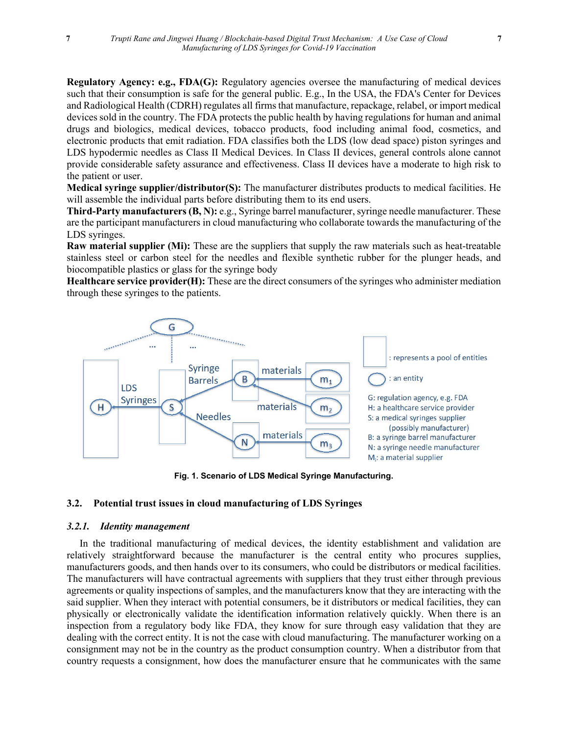**Regulatory Agency: e.g., FDA(G):** Regulatory agencies oversee the manufacturing of medical devices such that their consumption is safe for the general public. E.g., In the USA, the FDA's Center for Devices and Radiological Health (CDRH) regulates all firms that manufacture, repackage, relabel, or import medical devices sold in the country. The FDA protects the public health by having regulations for human and animal drugs and biologics, medical devices, tobacco products, food including animal food, cosmetics, and electronic products that emit radiation. FDA classifies both the LDS (low dead space) piston syringes and LDS hypodermic needles as Class II Medical Devices. In Class II devices, general controls alone cannot provide considerable safety assurance and effectiveness. Class II devices have a moderate to high risk to the patient or user.

**Medical syringe supplier/distributor(S):** The manufacturer distributes products to medical facilities. He will assemble the individual parts before distributing them to its end users.

**Third-Party manufacturers (B, N):** e.g., Syringe barrel manufacturer, syringe needle manufacturer. These are the participant manufacturers in cloud manufacturing who collaborate towards the manufacturing of the LDS syringes.

**Raw material supplier (Mi):** These are the suppliers that supply the raw materials such as heat-treatable stainless steel or carbon steel for the needles and flexible synthetic rubber for the plunger heads, and biocompatible plastics or glass for the syringe body

**Healthcare service provider(H):** These are the direct consumers of the syringes who administer mediation through these syringes to the patients.



**Fig. 1. Scenario of LDS Medical Syringe Manufacturing.**

## **3.2. Potential trust issues in cloud manufacturing of LDS Syringes**

#### *3.2.1. Identity management*

 In the traditional manufacturing of medical devices, the identity establishment and validation are relatively straightforward because the manufacturer is the central entity who procures supplies, manufacturers goods, and then hands over to its consumers, who could be distributors or medical facilities. The manufacturers will have contractual agreements with suppliers that they trust either through previous agreements or quality inspections of samples, and the manufacturers know that they are interacting with the said supplier. When they interact with potential consumers, be it distributors or medical facilities, they can physically or electronically validate the identification information relatively quickly. When there is an inspection from a regulatory body like FDA, they know for sure through easy validation that they are dealing with the correct entity. It is not the case with cloud manufacturing. The manufacturer working on a consignment may not be in the country as the product consumption country. When a distributor from that country requests a consignment, how does the manufacturer ensure that he communicates with the same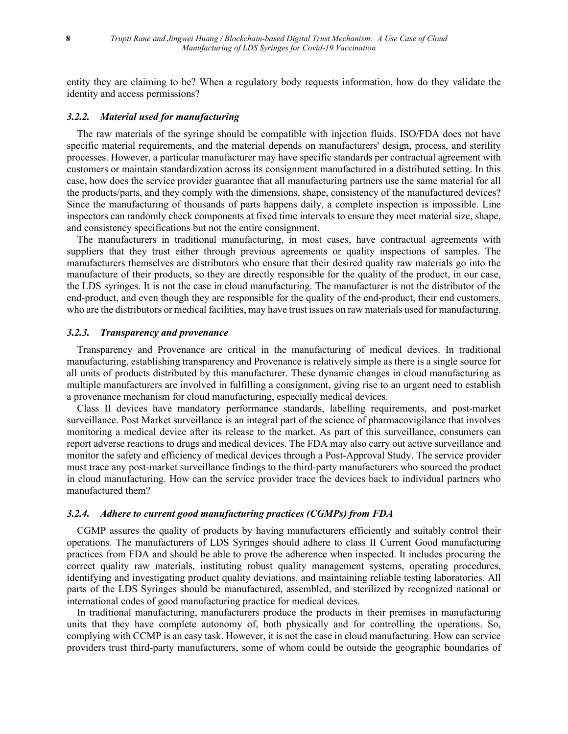entity they are claiming to be? When a regulatory body requests information, how do they validate the identity and access permissions?

#### *3.2.2. Material used for manufacturing*

 The raw materials of the syringe should be compatible with injection fluids. ISO/FDA does not have specific material requirements, and the material depends on manufacturers' design, process, and sterility processes. However, a particular manufacturer may have specific standards per contractual agreement with customers or maintain standardization across its consignment manufactured in a distributed setting. In this case, how does the service provider guarantee that all manufacturing partners use the same material for all the products/parts, and they comply with the dimensions, shape, consistency of the manufactured devices? Since the manufacturing of thousands of parts happens daily, a complete inspection is impossible. Line inspectors can randomly check components at fixed time intervals to ensure they meet material size, shape, and consistency specifications but not the entire consignment.

 The manufacturers in traditional manufacturing, in most cases, have contractual agreements with suppliers that they trust either through previous agreements or quality inspections of samples. The manufacturers themselves are distributors who ensure that their desired quality raw materials go into the manufacture of their products, so they are directly responsible for the quality of the product, in our case, the LDS syringes. It is not the case in cloud manufacturing. The manufacturer is not the distributor of the end-product, and even though they are responsible for the quality of the end-product, their end customers, who are the distributors or medical facilities, may have trust issues on raw materials used for manufacturing.

#### *3.2.3. Transparency and provenance*

 Transparency and Provenance are critical in the manufacturing of medical devices. In traditional manufacturing, establishing transparency and Provenance is relatively simple as there is a single source for all units of products distributed by this manufacturer. These dynamic changes in cloud manufacturing as multiple manufacturers are involved in fulfilling a consignment, giving rise to an urgent need to establish a provenance mechanism for cloud manufacturing, especially medical devices.

 Class II devices have mandatory performance standards, labelling requirements, and post-market surveillance. Post Market surveillance is an integral part of the science of pharmacovigilance that involves monitoring a medical device after its release to the market. As part of this surveillance, consumers can report adverse reactions to drugs and medical devices. The FDA may also carry out active surveillance and monitor the safety and efficiency of medical devices through a Post-Approval Study. The service provider must trace any post-market surveillance findings to the third-party manufacturers who sourced the product in cloud manufacturing. How can the service provider trace the devices back to individual partners who manufactured them?

#### *3.2.4. Adhere to current good manufacturing practices (CGMPs) from FDA*

 CGMP assures the quality of products by having manufacturers efficiently and suitably control their operations. The manufacturers of LDS Syringes should adhere to class II Current Good manufacturing practices from FDA and should be able to prove the adherence when inspected. It includes procuring the correct quality raw materials, instituting robust quality management systems, operating procedures, identifying and investigating product quality deviations, and maintaining reliable testing laboratories. All parts of the LDS Syringes should be manufactured, assembled, and sterilized by recognized national or international codes of good manufacturing practice for medical devices.

 In traditional manufacturing, manufacturers produce the products in their premises in manufacturing units that they have complete autonomy of, both physically and for controlling the operations. So, complying with CCMP is an easy task. However, it is not the case in cloud manufacturing. How can service providers trust third-party manufacturers, some of whom could be outside the geographic boundaries of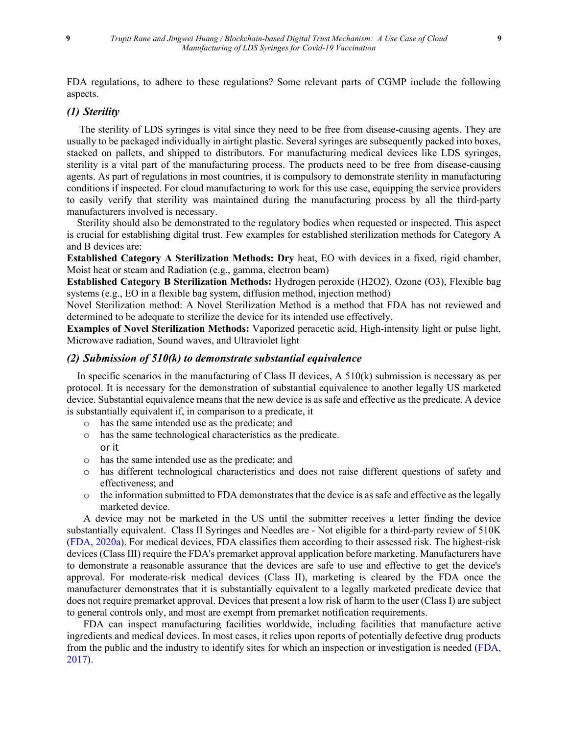FDA regulations, to adhere to these regulations? Some relevant parts of CGMP include the following aspects.

## *(1) Sterility*

The sterility of LDS syringes is vital since they need to be free from disease-causing agents. They are usually to be packaged individually in airtight plastic. Several syringes are subsequently packed into boxes, stacked on pallets, and shipped to distributors. For manufacturing medical devices like LDS syringes, sterility is a vital part of the manufacturing process. The products need to be free from disease-causing agents. As part of regulations in most countries, it is compulsory to demonstrate sterility in manufacturing conditions if inspected. For cloud manufacturing to work for this use case, equipping the service providers to easily verify that sterility was maintained during the manufacturing process by all the third-party manufacturers involved is necessary.

 Sterility should also be demonstrated to the regulatory bodies when requested or inspected. This aspect is crucial for establishing digital trust. Few examples for established sterilization methods for Category A and B devices are:

**Established Category A Sterilization Methods: Dry** heat, EO with devices in a fixed, rigid chamber, Moist heat or steam and Radiation (e.g., gamma, electron beam)

**Established Category B Sterilization Methods:** Hydrogen peroxide (H2O2), Ozone (O3), Flexible bag systems (e.g., EO in a flexible bag system, diffusion method, injection method)

Novel Sterilization method: A Novel Sterilization Method is a method that FDA has not reviewed and determined to be adequate to sterilize the device for its intended use effectively.

**Examples of Novel Sterilization Methods:** Vaporized peracetic acid, High-intensity light or pulse light, Microwave radiation, Sound waves, and Ultraviolet light

# *(2) Submission of 510(k) to demonstrate substantial equivalence*

In specific scenarios in the manufacturing of Class II devices,  $A \frac{510}{k}$  submission is necessary as per protocol. It is necessary for the demonstration of substantial equivalence to another legally US marketed device. Substantial equivalence means that the new device is as safe and effective as the predicate. A device is substantially equivalent if, in comparison to a predicate, it

- o has the same intended use as the predicate; and
- o has the same technological characteristics as the predicate. or it
- o has the same intended use as the predicate; and
- o has different technological characteristics and does not raise different questions of safety and effectiveness; and
- $\circ$  the information submitted to FDA demonstrates that the device is as safe and effective as the legally marketed device.

A device may not be marketed in the US until the submitter receives a letter finding the device substantially equivalent. Class II Syringes and Needles are - Not eligible for a third-party review of 510K [\(FDA, 2020a\)](#page-23-14). For medical devices, FDA classifies them according to their assessed risk. The highest-risk devices (Class III) require the FDA's premarket approval application before marketing. Manufacturers have to demonstrate a reasonable assurance that the devices are safe to use and effective to get the device's approval. For moderate-risk medical devices (Class II), marketing is cleared by the FDA once the manufacturer demonstrates that it is substantially equivalent to a legally marketed predicate device that does not require premarket approval. Devices that present a low risk of harm to the user (Class I) are subject to general controls only, and most are exempt from premarket notification requirements.

FDA can inspect manufacturing facilities worldwide, including facilities that manufacture active ingredients and medical devices. In most cases, it relies upon reports of potentially defective drug products from the public and the industry to identify sites for which an inspection or investigation is needed [\(FDA,](#page-23-15)  [2017\)](#page-23-15).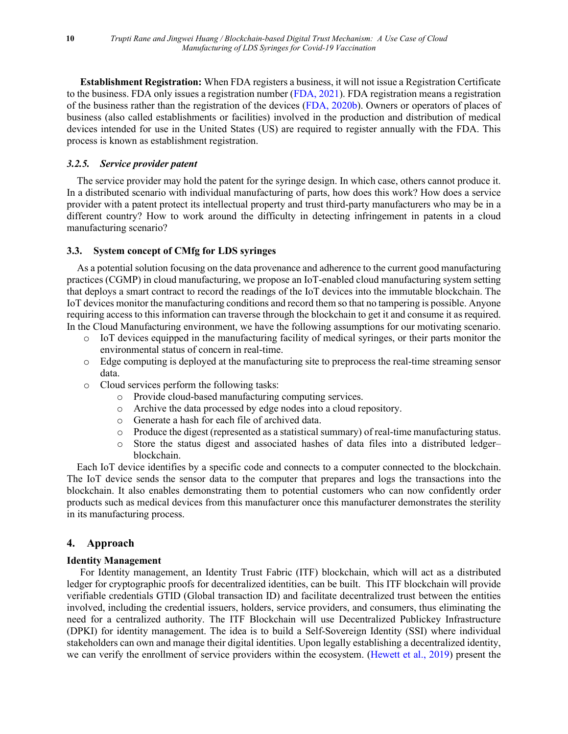**Establishment Registration:** When FDA registers a business, it will not issue a Registration Certificate to the business. FDA only issues a registration number [\(FDA, 2021\)](#page-23-16). FDA registration means a registration of the business rather than the registration of the devices [\(FDA, 2020b\)](#page-23-17). Owners or operators of places of business (also called establishments or facilities) involved in the production and distribution of medical devices intended for use in the United States (US) are required to register annually with the FDA. This process is known as establishment registration.

# *3.2.5. Service provider patent*

 The service provider may hold the patent for the syringe design. In which case, others cannot produce it. In a distributed scenario with individual manufacturing of parts, how does this work? How does a service provider with a patent protect its intellectual property and trust third-party manufacturers who may be in a different country? How to work around the difficulty in detecting infringement in patents in a cloud manufacturing scenario?

## **3.3. System concept of CMfg for LDS syringes**

 As a potential solution focusing on the data provenance and adherence to the current good manufacturing practices (CGMP) in cloud manufacturing, we propose an IoT-enabled cloud manufacturing system setting that deploys a smart contract to record the readings of the IoT devices into the immutable blockchain. The IoT devices monitor the manufacturing conditions and record them so that no tampering is possible. Anyone requiring access to this information can traverse through the blockchain to get it and consume it as required. In the Cloud Manufacturing environment, we have the following assumptions for our motivating scenario.

- o IoT devices equipped in the manufacturing facility of medical syringes, or their parts monitor the environmental status of concern in real-time.
- o Edge computing is deployed at the manufacturing site to preprocess the real-time streaming sensor data.
- o Cloud services perform the following tasks:
	- o Provide cloud-based manufacturing computing services.
	- o Archive the data processed by edge nodes into a cloud repository.
	- o Generate a hash for each file of archived data.
	- o Produce the digest (represented as a statistical summary) of real-time manufacturing status.
	- Store the status digest and associated hashes of data files into a distributed ledgerblockchain.

Each IoT device identifies by a specific code and connects to a computer connected to the blockchain. The IoT device sends the sensor data to the computer that prepares and logs the transactions into the blockchain. It also enables demonstrating them to potential customers who can now confidently order products such as medical devices from this manufacturer once this manufacturer demonstrates the sterility in its manufacturing process.

# **4. Approach**

## **Identity Management**

For Identity management, an Identity Trust Fabric (ITF) blockchain, which will act as a distributed ledger for cryptographic proofs for decentralized identities, can be built. This ITF blockchain will provide verifiable credentials GTID (Global transaction ID) and facilitate decentralized trust between the entities involved, including the credential issuers, holders, service providers, and consumers, thus eliminating the need for a centralized authority. The ITF Blockchain will use Decentralized Publickey Infrastructure (DPKI) for identity management. The idea is to build a Self-Sovereign Identity (SSI) where individual stakeholders can own and manage their digital identities. Upon legally establishing a decentralized identity, we can verify the enrollment of service providers within the ecosystem. [\(Hewett et al., 2019\)](#page-23-18) present the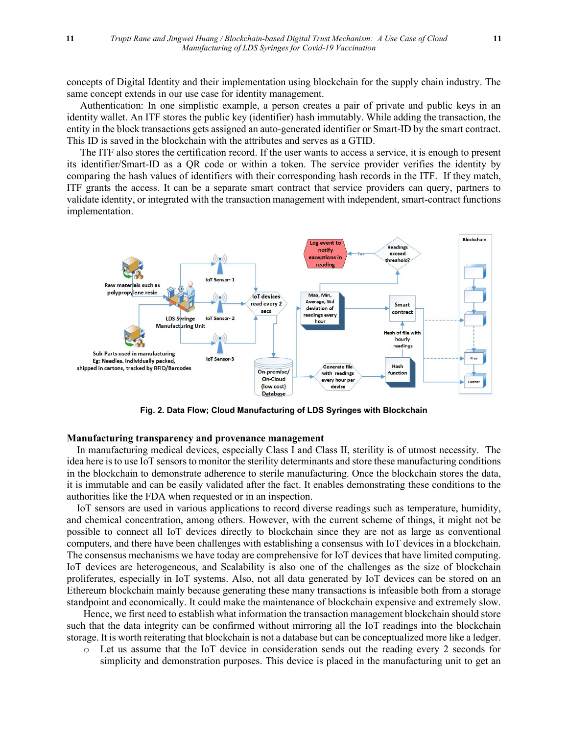concepts of Digital Identity and their implementation using blockchain for the supply chain industry. The same concept extends in our use case for identity management.

Authentication: In one simplistic example, a person creates a pair of private and public keys in an identity wallet. An ITF stores the public key (identifier) hash immutably. While adding the transaction, the entity in the block transactions gets assigned an auto-generated identifier or Smart-ID by the smart contract. This ID is saved in the blockchain with the attributes and serves as a GTID.

The ITF also stores the certification record. If the user wants to access a service, it is enough to present its identifier/Smart-ID as a QR code or within a token. The service provider verifies the identity by comparing the hash values of identifiers with their corresponding hash records in the ITF. If they match, ITF grants the access. It can be a separate smart contract that service providers can query, partners to validate identity, or integrated with the transaction management with independent, smart-contract functions implementation.



**Fig. 2. Data Flow; Cloud Manufacturing of LDS Syringes with Blockchain**

## **Manufacturing transparency and provenance management**

In manufacturing medical devices, especially Class I and Class II, sterility is of utmost necessity. The idea here is to use IoT sensors to monitor the sterility determinants and store these manufacturing conditions in the blockchain to demonstrate adherence to sterile manufacturing. Once the blockchain stores the data, it is immutable and can be easily validated after the fact. It enables demonstrating these conditions to the authorities like the FDA when requested or in an inspection.

IoT sensors are used in various applications to record diverse readings such as temperature, humidity, and chemical concentration, among others. However, with the current scheme of things, it might not be possible to connect all IoT devices directly to blockchain since they are not as large as conventional computers, and there have been challenges with establishing a consensus with IoT devices in a blockchain. The consensus mechanisms we have today are comprehensive for IoT devices that have limited computing. IoT devices are heterogeneous, and Scalability is also one of the challenges as the size of blockchain proliferates, especially in IoT systems. Also, not all data generated by IoT devices can be stored on an Ethereum blockchain mainly because generating these many transactions is infeasible both from a storage standpoint and economically. It could make the maintenance of blockchain expensive and extremely slow.

Hence, we first need to establish what information the transaction management blockchain should store such that the data integrity can be confirmed without mirroring all the IoT readings into the blockchain storage. It is worth reiterating that blockchain is not a database but can be conceptualized more like a ledger.

o Let us assume that the IoT device in consideration sends out the reading every 2 seconds for simplicity and demonstration purposes. This device is placed in the manufacturing unit to get an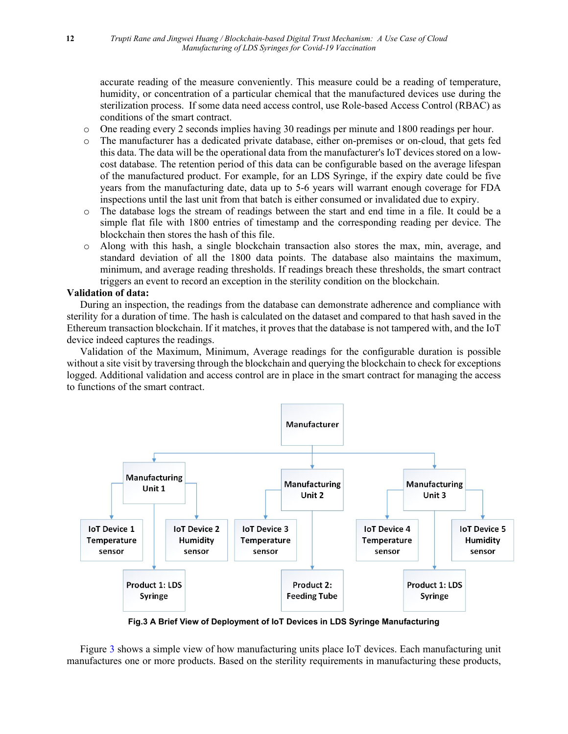accurate reading of the measure conveniently. This measure could be a reading of temperature, humidity, or concentration of a particular chemical that the manufactured devices use during the sterilization process. If some data need access control, use Role-based Access Control (RBAC) as conditions of the smart contract.

- o One reading every 2 seconds implies having 30 readings per minute and 1800 readings per hour.
- o The manufacturer has a dedicated private database, either on-premises or on-cloud, that gets fed this data. The data will be the operational data from the manufacturer's IoT devices stored on a lowcost database. The retention period of this data can be configurable based on the average lifespan of the manufactured product. For example, for an LDS Syringe, if the expiry date could be five years from the manufacturing date, data up to 5-6 years will warrant enough coverage for FDA inspections until the last unit from that batch is either consumed or invalidated due to expiry.
- o The database logs the stream of readings between the start and end time in a file. It could be a simple flat file with 1800 entries of timestamp and the corresponding reading per device. The blockchain then stores the hash of this file.
- o Along with this hash, a single blockchain transaction also stores the max, min, average, and standard deviation of all the 1800 data points. The database also maintains the maximum, minimum, and average reading thresholds. If readings breach these thresholds, the smart contract triggers an event to record an exception in the sterility condition on the blockchain.

## **Validation of data:**

During an inspection, the readings from the database can demonstrate adherence and compliance with sterility for a duration of time. The hash is calculated on the dataset and compared to that hash saved in the Ethereum transaction blockchain. If it matches, it proves that the database is not tampered with, and the IoT device indeed captures the readings.

Validation of the Maximum, Minimum, Average readings for the configurable duration is possible without a site visit by traversing through the blockchain and querying the blockchain to check for exceptions logged. Additional validation and access control are in place in the smart contract for managing the access to functions of the smart contract.



**Fig.3 A Brief View of Deployment of IoT Devices in LDS Syringe Manufacturing**

Figure 3 shows a simple view of how manufacturing units place IoT devices. Each manufacturing unit manufactures one or more products. Based on the sterility requirements in manufacturing these products,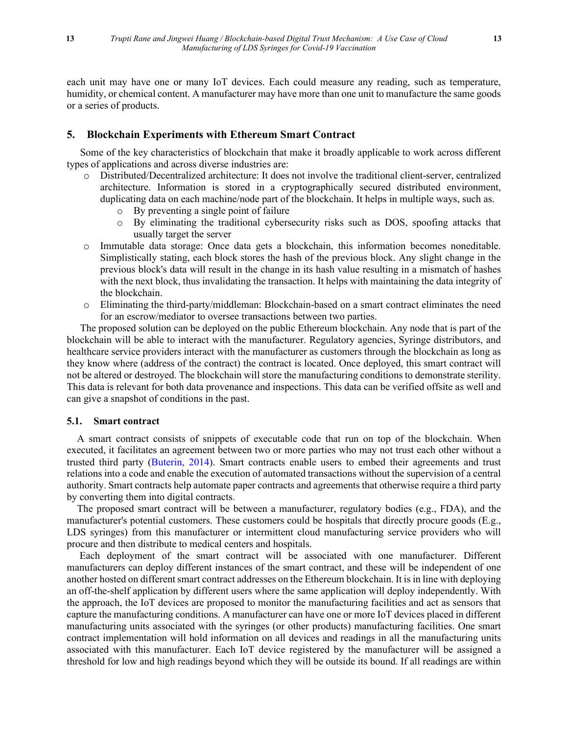each unit may have one or many IoT devices. Each could measure any reading, such as temperature, humidity, or chemical content. A manufacturer may have more than one unit to manufacture the same goods or a series of products.

#### **5. Blockchain Experiments with Ethereum Smart Contract**

Some of the key characteristics of blockchain that make it broadly applicable to work across different types of applications and across diverse industries are:

- o Distributed/Decentralized architecture: It does not involve the traditional client-server, centralized architecture. Information is stored in a cryptographically secured distributed environment, duplicating data on each machine/node part of the blockchain. It helps in multiple ways, such as.
	- o By preventing a single point of failure
	- o By eliminating the traditional cybersecurity risks such as DOS, spoofing attacks that usually target the server
- o Immutable data storage: Once data gets a blockchain, this information becomes noneditable. Simplistically stating, each block stores the hash of the previous block. Any slight change in the previous block's data will result in the change in its hash value resulting in a mismatch of hashes with the next block, thus invalidating the transaction. It helps with maintaining the data integrity of the blockchain.
- o Eliminating the third-party/middleman: Blockchain-based on a smart contract eliminates the need for an escrow/mediator to oversee transactions between two parties.

The proposed solution can be deployed on the public Ethereum blockchain. Any node that is part of the blockchain will be able to interact with the manufacturer. Regulatory agencies, Syringe distributors, and healthcare service providers interact with the manufacturer as customers through the blockchain as long as they know where (address of the contract) the contract is located. Once deployed, this smart contract will not be altered or destroyed. The blockchain will store the manufacturing conditions to demonstrate sterility. This data is relevant for both data provenance and inspections. This data can be verified offsite as well and can give a snapshot of conditions in the past.

#### **5.1. Smart contract**

 A smart contract consists of snippets of executable code that run on top of the blockchain. When executed, it facilitates an agreement between two or more parties who may not trust each other without a trusted third party [\(Buterin, 2014\)](#page-23-7). Smart contracts enable users to embed their agreements and trust relations into a code and enable the execution of automated transactions without the supervision of a central authority. Smart contracts help automate paper contracts and agreements that otherwise require a third party by converting them into digital contracts.

 The proposed smart contract will be between a manufacturer, regulatory bodies (e.g., FDA), and the manufacturer's potential customers. These customers could be hospitals that directly procure goods (E.g., LDS syringes) from this manufacturer or intermittent cloud manufacturing service providers who will procure and then distribute to medical centers and hospitals.

 Each deployment of the smart contract will be associated with one manufacturer. Different manufacturers can deploy different instances of the smart contract, and these will be independent of one another hosted on different smart contract addresses on the Ethereum blockchain. It is in line with deploying an off-the-shelf application by different users where the same application will deploy independently. With the approach, the IoT devices are proposed to monitor the manufacturing facilities and act as sensors that capture the manufacturing conditions. A manufacturer can have one or more IoT devices placed in different manufacturing units associated with the syringes (or other products) manufacturing facilities. One smart contract implementation will hold information on all devices and readings in all the manufacturing units associated with this manufacturer. Each IoT device registered by the manufacturer will be assigned a threshold for low and high readings beyond which they will be outside its bound. If all readings are within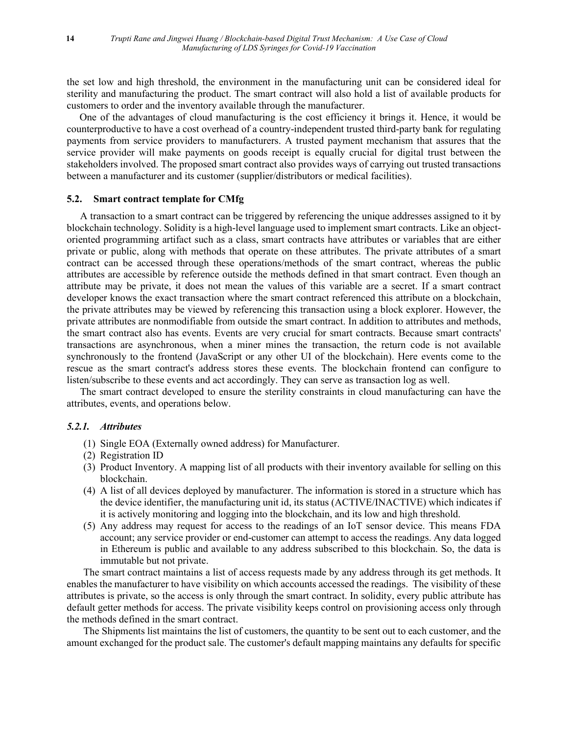the set low and high threshold, the environment in the manufacturing unit can be considered ideal for sterility and manufacturing the product. The smart contract will also hold a list of available products for customers to order and the inventory available through the manufacturer.

 One of the advantages of cloud manufacturing is the cost efficiency it brings it. Hence, it would be counterproductive to have a cost overhead of a country-independent trusted third-party bank for regulating payments from service providers to manufacturers. A trusted payment mechanism that assures that the service provider will make payments on goods receipt is equally crucial for digital trust between the stakeholders involved. The proposed smart contract also provides ways of carrying out trusted transactions between a manufacturer and its customer (supplier/distributors or medical facilities).

## **5.2. Smart contract template for CMfg**

A transaction to a smart contract can be triggered by referencing the unique addresses assigned to it by blockchain technology. Solidity is a high-level language used to implement smart contracts. Like an objectoriented programming artifact such as a class, smart contracts have attributes or variables that are either private or public, along with methods that operate on these attributes. The private attributes of a smart contract can be accessed through these operations/methods of the smart contract, whereas the public attributes are accessible by reference outside the methods defined in that smart contract. Even though an attribute may be private, it does not mean the values of this variable are a secret. If a smart contract developer knows the exact transaction where the smart contract referenced this attribute on a blockchain, the private attributes may be viewed by referencing this transaction using a block explorer. However, the private attributes are nonmodifiable from outside the smart contract. In addition to attributes and methods, the smart contract also has events. Events are very crucial for smart contracts. Because smart contracts' transactions are asynchronous, when a miner mines the transaction, the return code is not available synchronously to the frontend (JavaScript or any other UI of the blockchain). Here events come to the rescue as the smart contract's address stores these events. The blockchain frontend can configure to listen/subscribe to these events and act accordingly. They can serve as transaction log as well.

The smart contract developed to ensure the sterility constraints in cloud manufacturing can have the attributes, events, and operations below.

# *5.2.1. Attributes*

- (1) Single EOA (Externally owned address) for Manufacturer.
- (2) Registration ID
- (3) Product Inventory. A mapping list of all products with their inventory available for selling on this blockchain.
- (4) A list of all devices deployed by manufacturer. The information is stored in a structure which has the device identifier, the manufacturing unit id, its status (ACTIVE/INACTIVE) which indicates if it is actively monitoring and logging into the blockchain, and its low and high threshold.
- (5) Any address may request for access to the readings of an IoT sensor device. This means FDA account; any service provider or end-customer can attempt to access the readings. Any data logged in Ethereum is public and available to any address subscribed to this blockchain. So, the data is immutable but not private.

The smart contract maintains a list of access requests made by any address through its get methods. It enables the manufacturer to have visibility on which accounts accessed the readings. The visibility of these attributes is private, so the access is only through the smart contract. In solidity, every public attribute has default getter methods for access. The private visibility keeps control on provisioning access only through the methods defined in the smart contract.

The Shipments list maintains the list of customers, the quantity to be sent out to each customer, and the amount exchanged for the product sale. The customer's default mapping maintains any defaults for specific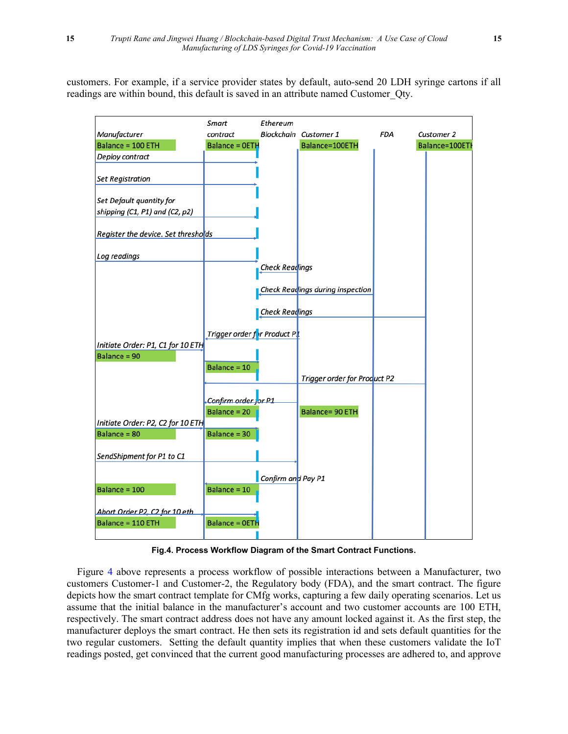customers. For example, if a service provider states by default, auto-send 20 LDH syringe cartons if all readings are within bound, this default is saved in an attribute named Customer\_Qty.



**Fig.4. Process Workflow Diagram of the Smart Contract Functions.**

 Figure 4 above represents a process workflow of possible interactions between a Manufacturer, two customers Customer-1 and Customer-2, the Regulatory body (FDA), and the smart contract. The figure depicts how the smart contract template for CMfg works, capturing a few daily operating scenarios. Let us assume that the initial balance in the manufacturer's account and two customer accounts are 100 ETH, respectively. The smart contract address does not have any amount locked against it. As the first step, the manufacturer deploys the smart contract. He then sets its registration id and sets default quantities for the two regular customers. Setting the default quantity implies that when these customers validate the IoT readings posted, get convinced that the current good manufacturing processes are adhered to, and approve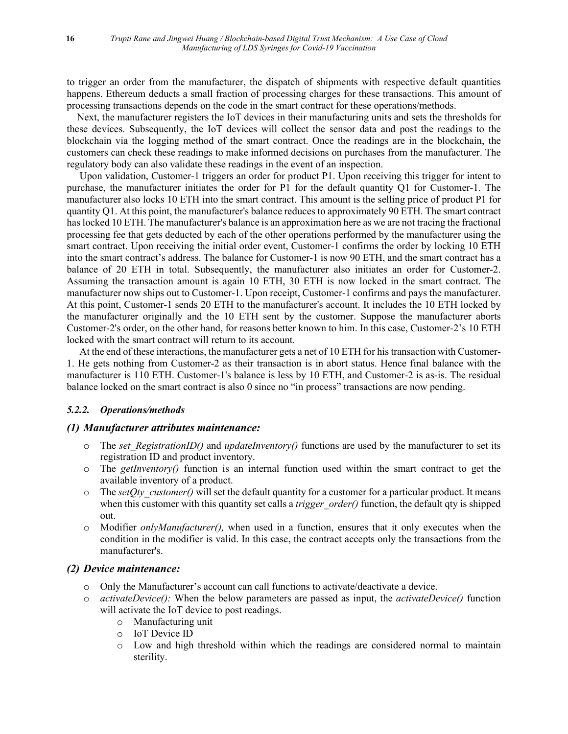to trigger an order from the manufacturer, the dispatch of shipments with respective default quantities happens. Ethereum deducts a small fraction of processing charges for these transactions. This amount of processing transactions depends on the code in the smart contract for these operations/methods.

 Next, the manufacturer registers the IoT devices in their manufacturing units and sets the thresholds for these devices. Subsequently, the IoT devices will collect the sensor data and post the readings to the blockchain via the logging method of the smart contract. Once the readings are in the blockchain, the customers can check these readings to make informed decisions on purchases from the manufacturer. The regulatory body can also validate these readings in the event of an inspection.

 Upon validation, Customer-1 triggers an order for product P1. Upon receiving this trigger for intent to purchase, the manufacturer initiates the order for P1 for the default quantity Q1 for Customer-1. The manufacturer also locks 10 ETH into the smart contract. This amount is the selling price of product P1 for quantity Q1. At this point, the manufacturer's balance reduces to approximately 90 ETH. The smart contract has locked 10 ETH. The manufacturer's balance is an approximation here as we are not tracing the fractional processing fee that gets deducted by each of the other operations performed by the manufacturer using the smart contract. Upon receiving the initial order event, Customer-1 confirms the order by locking 10 ETH into the smart contract's address. The balance for Customer-1 is now 90 ETH, and the smart contract has a balance of 20 ETH in total. Subsequently, the manufacturer also initiates an order for Customer-2. Assuming the transaction amount is again 10 ETH, 30 ETH is now locked in the smart contract. The manufacturer now ships out to Customer-1. Upon receipt, Customer-1 confirms and pays the manufacturer. At this point, Customer-1 sends 20 ETH to the manufacturer's account. It includes the 10 ETH locked by the manufacturer originally and the 10 ETH sent by the customer. Suppose the manufacturer aborts Customer-2's order, on the other hand, for reasons better known to him. In this case, Customer-2's 10 ETH locked with the smart contract will return to its account.

 At the end of these interactions, the manufacturer gets a net of 10 ETH for his transaction with Customer-1. He gets nothing from Customer-2 as their transaction is in abort status. Hence final balance with the manufacturer is 110 ETH. Customer-1's balance is less by 10 ETH, and Customer-2 is as-is. The residual balance locked on the smart contract is also 0 since no "in process" transactions are now pending.

## *5.2.2. Operations/methods*

## *(1) Manufacturer attributes maintenance:*

- $\circ$  The *set RegistrationID()* and *updateInventory()* functions are used by the manufacturer to set its registration ID and product inventory.
- o The *getInventory()* function is an internal function used within the smart contract to get the available inventory of a product.
- $\circ$  The *setQty* customer() will set the default quantity for a customer for a particular product. It means when this customer with this quantity set calls a *trigger order()* function, the default qty is shipped out.
- Modifier *onlyManufacturer()*, when used in a function, ensures that it only executes when the condition in the modifier is valid. In this case, the contract accepts only the transactions from the manufacturer's.

# *(2) Device maintenance:*

- o Only the Manufacturer's account can call functions to activate/deactivate a device.
- o *activateDevice():* When the below parameters are passed as input, the *activateDevice()* function will activate the IoT device to post readings.
	- o Manufacturing unit
	- o IoT Device ID
	- o Low and high threshold within which the readings are considered normal to maintain sterility.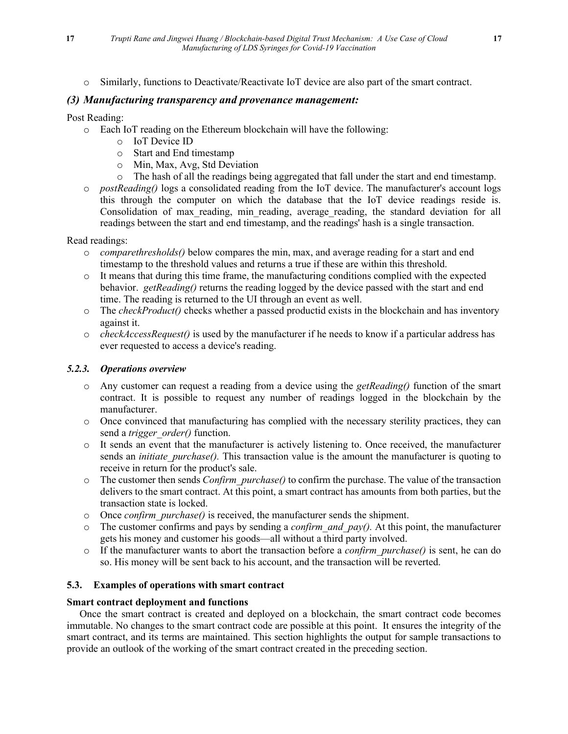o Similarly, functions to Deactivate/Reactivate IoT device are also part of the smart contract.

# *(3) Manufacturing transparency and provenance management:*

## Post Reading:

- o Each IoT reading on the Ethereum blockchain will have the following:
	- o IoT Device ID
	- o Start and End timestamp
	- o Min, Max, Avg, Std Deviation
	- o The hash of all the readings being aggregated that fall under the start and end timestamp.
- o *postReading()* logs a consolidated reading from the IoT device. The manufacturer's account logs this through the computer on which the database that the IoT device readings reside is. Consolidation of max reading, min reading, average reading, the standard deviation for all readings between the start and end timestamp, and the readings' hash is a single transaction.

# Read readings:

- o *comparethresholds()* below compares the min, max, and average reading for a start and end timestamp to the threshold values and returns a true if these are within this threshold.
- o It means that during this time frame, the manufacturing conditions complied with the expected behavior. *getReading()* returns the reading logged by the device passed with the start and end time. The reading is returned to the UI through an event as well.
- o The *checkProduct()* checks whether a passed productid exists in the blockchain and has inventory against it.
- o *checkAccessRequest()* is used by the manufacturer if he needs to know if a particular address has ever requested to access a device's reading.

# *5.2.3. Operations overview*

- o Any customer can request a reading from a device using the *getReading()* function of the smart contract. It is possible to request any number of readings logged in the blockchain by the manufacturer.
- o Once convinced that manufacturing has complied with the necessary sterility practices, they can send a *trigger\_order()* function.
- o It sends an event that the manufacturer is actively listening to. Once received, the manufacturer sends an *initiate purchase()*. This transaction value is the amount the manufacturer is quoting to receive in return for the product's sale.
- o The customer then sends *Confirm\_purchase()* to confirm the purchase. The value of the transaction delivers to the smart contract. At this point, a smart contract has amounts from both parties, but the transaction state is locked.
- o Once *confirm\_purchase()* is received, the manufacturer sends the shipment.
- $\circ$  The customer confirms and pays by sending a *confirm and pay()*. At this point, the manufacturer gets his money and customer his goods—all without a third party involved.
- o If the manufacturer wants to abort the transaction before a *confirm\_purchase()* is sent, he can do so. His money will be sent back to his account, and the transaction will be reverted.

# **5.3. Examples of operations with smart contract**

# **Smart contract deployment and functions**

 Once the smart contract is created and deployed on a blockchain, the smart contract code becomes immutable. No changes to the smart contract code are possible at this point. It ensures the integrity of the smart contract, and its terms are maintained. This section highlights the output for sample transactions to provide an outlook of the working of the smart contract created in the preceding section.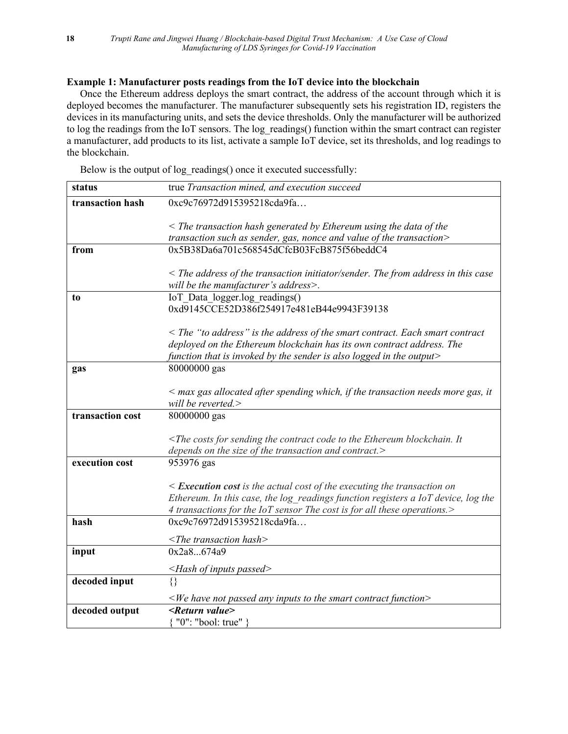# **Example 1: Manufacturer posts readings from the IoT device into the blockchain**

Once the Ethereum address deploys the smart contract, the address of the account through which it is deployed becomes the manufacturer. The manufacturer subsequently sets his registration ID, registers the devices in its manufacturing units, and sets the device thresholds. Only the manufacturer will be authorized to log the readings from the IoT sensors. The log readings() function within the smart contract can register a manufacturer, add products to its list, activate a sample IoT device, set its thresholds, and log readings to the blockchain.

Below is the output of log\_readings() once it executed successfully:

| status           | true Transaction mined, and execution succeed                                                                                                 |
|------------------|-----------------------------------------------------------------------------------------------------------------------------------------------|
| transaction hash | 0xc9c76972d915395218cda9fa                                                                                                                    |
|                  | $\leq$ The transaction hash generated by Ethereum using the data of the                                                                       |
|                  | transaction such as sender, gas, nonce and value of the transaction>                                                                          |
| from             | 0x5B38Da6a701c568545dCfcB03FcB875f56beddC4                                                                                                    |
|                  |                                                                                                                                               |
|                  | $\leq$ The address of the transaction initiator/sender. The from address in this case                                                         |
|                  | will be the manufacturer's address>.                                                                                                          |
| to               | IoT Data logger.log readings()                                                                                                                |
|                  | 0xd9145CCE52D386f254917e481eB44e9943F39138                                                                                                    |
|                  |                                                                                                                                               |
|                  | $\leq$ The "to address" is the address of the smart contract. Each smart contract                                                             |
|                  | deployed on the Ethereum blockchain has its own contract address. The<br>function that is invoked by the sender is also logged in the output> |
| gas              | 80000000 gas                                                                                                                                  |
|                  |                                                                                                                                               |
|                  | $\leq$ max gas allocated after spending which, if the transaction needs more gas, it                                                          |
|                  | will be reverted.>                                                                                                                            |
| transaction cost | 80000000 gas                                                                                                                                  |
|                  |                                                                                                                                               |
|                  | $\leq$ The costs for sending the contract code to the Ethereum blockchain. It                                                                 |
|                  | depends on the size of the transaction and contract.>                                                                                         |
| execution cost   | 953976 gas                                                                                                                                    |
|                  | $\leq$ <b>Execution cost</b> is the actual cost of the executing the transaction on                                                           |
|                  | Ethereum. In this case, the log readings function registers a IoT device, log the                                                             |
|                  | 4 transactions for the IoT sensor The cost is for all these operations.>                                                                      |
| hash             | 0xc9c76972d915395218cda9fa                                                                                                                    |
|                  | $\langle$ The transaction hash $\rangle$                                                                                                      |
| input            | 0x2a8674a9                                                                                                                                    |
|                  | $\leq$ Hash of inputs passed>                                                                                                                 |
| decoded input    | €                                                                                                                                             |
|                  | $\leq$ We have not passed any inputs to the smart contract function $\geq$                                                                    |
| decoded output   | <return value=""></return>                                                                                                                    |
|                  | { "0": "bool: true" }                                                                                                                         |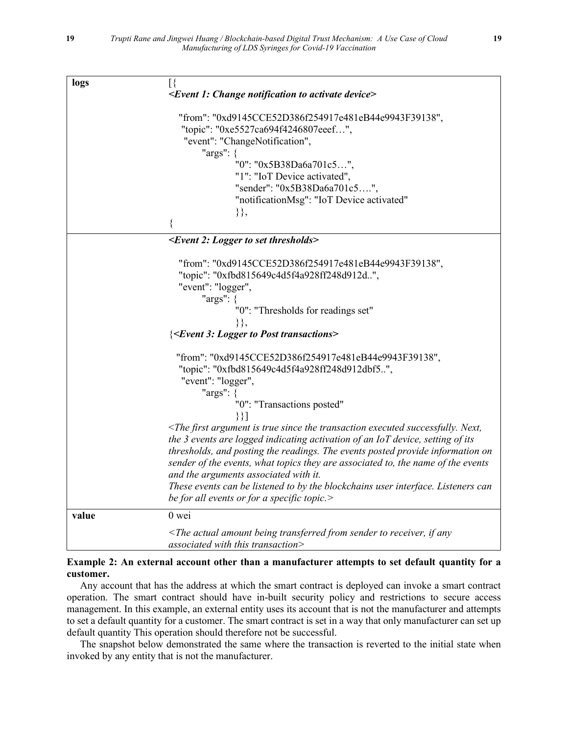| logs  | $[\{$                                                                                                                                                                  |
|-------|------------------------------------------------------------------------------------------------------------------------------------------------------------------------|
|       | <event 1:="" activate="" change="" device="" notification="" to=""></event>                                                                                            |
|       | "from": "0xd9145CCE52D386f254917e481eB44e9943F39138",                                                                                                                  |
|       | "topic": "0xe5527ca694f4246807eeef",                                                                                                                                   |
|       | "event": "ChangeNotification",                                                                                                                                         |
|       | "args": {                                                                                                                                                              |
|       | "0": "0x5B38Da6a701c5",                                                                                                                                                |
|       | "1": "IoT Device activated",                                                                                                                                           |
|       | "sender": "0x5B38Da6a701c5",                                                                                                                                           |
|       | "notificationMsg": "IoT Device activated"                                                                                                                              |
|       | $\},$                                                                                                                                                                  |
|       | {                                                                                                                                                                      |
|       | <event 2:="" logger="" set="" thresholds="" to=""></event>                                                                                                             |
|       |                                                                                                                                                                        |
|       | "from": "0xd9145CCE52D386f254917e481eB44e9943F39138",                                                                                                                  |
|       | "topic": "0xfbd815649c4d5f4a928ff248d912d",                                                                                                                            |
|       | "event": "logger",                                                                                                                                                     |
|       | " $args"$ : {<br>"0": "Thresholds for readings set"                                                                                                                    |
|       | $\},\$                                                                                                                                                                 |
|       | <b>{<event 3:="" logger="" post="" to="" transactions=""></event></b>                                                                                                  |
|       |                                                                                                                                                                        |
|       | "from": "0xd9145CCE52D386f254917e481eB44e9943F39138",                                                                                                                  |
|       | "topic": "0xfbd815649c4d5f4a928ff248d912dbf5",                                                                                                                         |
|       | "event": "logger",                                                                                                                                                     |
|       | " $args"$ : {                                                                                                                                                          |
|       | "0": "Transactions posted"                                                                                                                                             |
|       | $\{\}$                                                                                                                                                                 |
|       | $\leq$ The first argument is true since the transaction executed successfully. Next,<br>the 3 events are logged indicating activation of an IoT device, setting of its |
|       | thresholds, and posting the readings. The events posted provide information on                                                                                         |
|       | sender of the events, what topics they are associated to, the name of the events                                                                                       |
|       | and the arguments associated with it.                                                                                                                                  |
|       | These events can be listened to by the blockchains user interface. Listeners can                                                                                       |
|       | be for all events or for a specific topic.>                                                                                                                            |
| value | 0 wei                                                                                                                                                                  |
|       | $\leq$ The actual amount being transferred from sender to receiver, if any                                                                                             |
|       | associated with this transaction>                                                                                                                                      |

## **Example 2: An external account other than a manufacturer attempts to set default quantity for a customer.**

Any account that has the address at which the smart contract is deployed can invoke a smart contract operation. The smart contract should have in-built security policy and restrictions to secure access management. In this example, an external entity uses its account that is not the manufacturer and attempts to set a default quantity for a customer. The smart contract is set in a way that only manufacturer can set up default quantity This operation should therefore not be successful.

The snapshot below demonstrated the same where the transaction is reverted to the initial state when invoked by any entity that is not the manufacturer.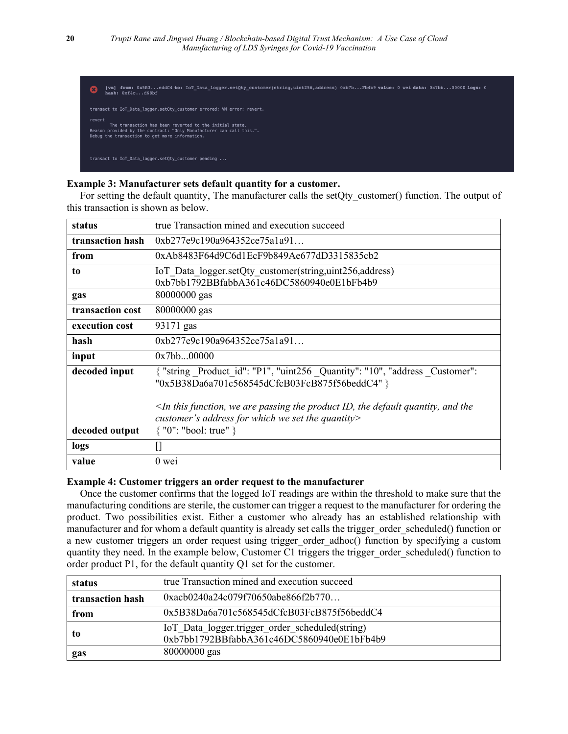| ß. | from: 0x5B3eddC4 to: IoT Data logger.setQty customer(string,uint256,address) 0xb7bFb4b9 value: 0 wei data: 0x7bb00000 logs: 0<br>[vm]<br>hash: 0xf4cd68bf                                   |
|----|---------------------------------------------------------------------------------------------------------------------------------------------------------------------------------------------|
|    | transact to IoT Data logger.setOty customer errored: VM error: revert.                                                                                                                      |
|    | revert<br>The transaction has been reverted to the initial state.<br>Reason provided by the contract: "Only Manufacturer can call this.".<br>Debug the transaction to get more information. |
|    | transact to IoT Data logger.setOty customer pending                                                                                                                                         |

## **Example 3: Manufacturer sets default quantity for a customer.**

For setting the default quantity, The manufacturer calls the setQty\_customer() function. The output of this transaction is shown as below.

| status           | true Transaction mined and execution succeed                                                                                               |
|------------------|--------------------------------------------------------------------------------------------------------------------------------------------|
| transaction hash | 0xb277e9c190a964352ce75a1a91                                                                                                               |
| from             | 0xAb8483F64d9C6d1EcF9b849Ae677dD3315835cb2                                                                                                 |
| to               | IoT Data logger.setQty customer(string,uint256,address)<br>0xb7bb1792BBfabbA361c46DC5860940e0E1bFb4b9                                      |
| gas              | 80000000 gas                                                                                                                               |
| transaction cost | 80000000 gas                                                                                                                               |
| execution cost   | 93171 gas                                                                                                                                  |
| hash             | 0xb277e9c190a964352ce75a1a91                                                                                                               |
| input            | 0x7bb00000                                                                                                                                 |
| decoded input    | { "string Product id": "P1", "uint256 Quantity": "10", "address Customer":<br>"0x5B38Da6a701c568545dCfcB03FcB875f56beddC4" }               |
|                  | $\leq$ In this function, we are passing the product ID, the default quantity, and the<br>customer's address for which we set the quantity> |
| decoded output   | $\{$ "0": "bool: true" $\}$                                                                                                                |
| logs             |                                                                                                                                            |
| value            | $0$ wei                                                                                                                                    |

## **Example 4: Customer triggers an order request to the manufacturer**

Once the customer confirms that the logged IoT readings are within the threshold to make sure that the manufacturing conditions are sterile, the customer can trigger a request to the manufacturer for ordering the product. Two possibilities exist. Either a customer who already has an established relationship with manufacturer and for whom a default quantity is already set calls the trigger order scheduled() function or a new customer triggers an order request using trigger order adhoc() function by specifying a custom quantity they need. In the example below, Customer C1 triggers the trigger order scheduled() function to order product P1, for the default quantity Q1 set for the customer.

| status           | true Transaction mined and execution succeed                                                  |
|------------------|-----------------------------------------------------------------------------------------------|
| transaction hash | 0xacb0240a24c079f70650abe866f2b770                                                            |
| from             | $0x5B38Da6a701c568545dCfcB03FcB875f56beddC4$                                                  |
| to               | IoT Data logger.trigger order scheduled(string)<br>0xb7bb1792BBfabbA361c46DC5860940e0E1bFb4b9 |
| gas              | 80000000 gas                                                                                  |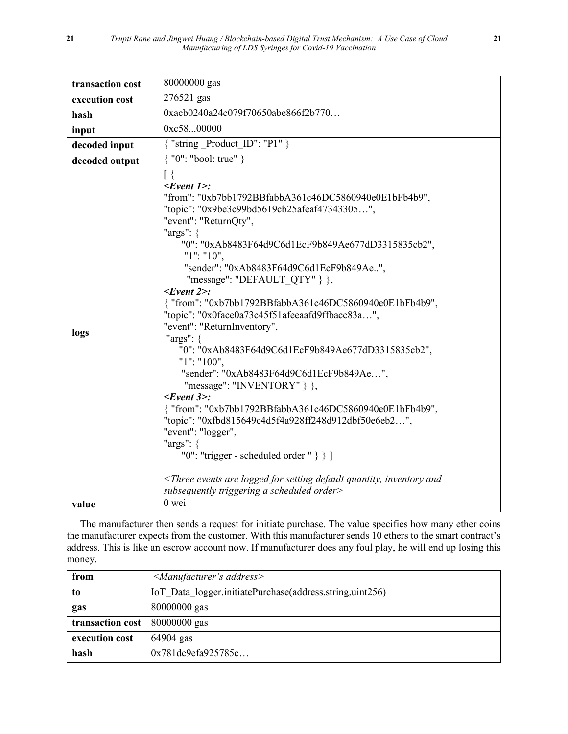| transaction cost | 80000000 gas                                                                                                                                                                                                                                                                                                                                                                                                                                                                                                                                                                                                                                                                                                                                                                                                                                                                                                                                                                                                                                                                |
|------------------|-----------------------------------------------------------------------------------------------------------------------------------------------------------------------------------------------------------------------------------------------------------------------------------------------------------------------------------------------------------------------------------------------------------------------------------------------------------------------------------------------------------------------------------------------------------------------------------------------------------------------------------------------------------------------------------------------------------------------------------------------------------------------------------------------------------------------------------------------------------------------------------------------------------------------------------------------------------------------------------------------------------------------------------------------------------------------------|
| execution cost   | 276521 gas                                                                                                                                                                                                                                                                                                                                                                                                                                                                                                                                                                                                                                                                                                                                                                                                                                                                                                                                                                                                                                                                  |
| hash             | 0xacb0240a24c079f70650abe866f2b770                                                                                                                                                                                                                                                                                                                                                                                                                                                                                                                                                                                                                                                                                                                                                                                                                                                                                                                                                                                                                                          |
| input            | 0xc5800000                                                                                                                                                                                                                                                                                                                                                                                                                                                                                                                                                                                                                                                                                                                                                                                                                                                                                                                                                                                                                                                                  |
| decoded input    | { "string Product ID": "P1" }                                                                                                                                                                                                                                                                                                                                                                                                                                                                                                                                                                                                                                                                                                                                                                                                                                                                                                                                                                                                                                               |
| decoded output   | { "0": "bool: true" }                                                                                                                                                                                                                                                                                                                                                                                                                                                                                                                                                                                                                                                                                                                                                                                                                                                                                                                                                                                                                                                       |
| logs             | $\lceil \ \rceil$<br>$\leq$ Event 1>:<br>"from": "0xb7bb1792BBfabbA361c46DC5860940e0E1bFb4b9",<br>"topic": "0x9be3c99bd5619cb25afeaf47343305",<br>"event": "ReturnQty",<br>" $args"$ : {<br>"0": "0xAb8483F64d9C6d1EcF9b849Ae677dD3315835cb2",<br>" $1$ ": " $10$ ",<br>"sender": "0xAb8483F64d9C6d1EcF9b849Ae",<br>"message": "DEFAULT QTY" } },<br>$\leq$ Event 2>:<br>{ "from": "0xb7bb1792BBfabbA361c46DC5860940e0E1bFb4b9",<br>"topic": "0x0face0a73c45f51afeeaafd9ffbacc83a",<br>"event": "ReturnInventory",<br>" $args"$ : {<br>"0": "0xAb8483F64d9C6d1EcF9b849Ae677dD3315835cb2",<br>"1": "100",<br>"sender": "0xAb8483F64d9C6d1EcF9b849Ae",<br>"message": "INVENTORY" $\}$ ,<br>$\leq$ Event 3>:<br>{ "from": "0xb7bb1792BBfabbA361c46DC5860940e0E1bFb4b9",<br>"topic": "0xfbd815649c4d5f4a928ff248d912dbf50e6eb2",<br>"event": "logger",<br>" $args"$ : {<br>"0": "trigger - scheduled order " $\}$ ]<br><three and<br="" are="" default="" events="" for="" inventory="" logged="" quantity,="" setting="">subsequently triggering a scheduled order&gt;</three> |
|                  | 0 wei                                                                                                                                                                                                                                                                                                                                                                                                                                                                                                                                                                                                                                                                                                                                                                                                                                                                                                                                                                                                                                                                       |
| value            |                                                                                                                                                                                                                                                                                                                                                                                                                                                                                                                                                                                                                                                                                                                                                                                                                                                                                                                                                                                                                                                                             |

The manufacturer then sends a request for initiate purchase. The value specifies how many ether coins the manufacturer expects from the customer. With this manufacturer sends 10 ethers to the smart contract's address. This is like an escrow account now. If manufacturer does any foul play, he will end up losing this money.

| from             | $\leq$ Manufacturer's address>                             |
|------------------|------------------------------------------------------------|
| to               | IoT Data logger.initiatePurchase(address, string, uint256) |
| gas              | 80000000 gas                                               |
| transaction cost | $80000000$ gas                                             |
| execution cost   | $64904$ gas                                                |
| hash             | 0x781dc9efa925785c                                         |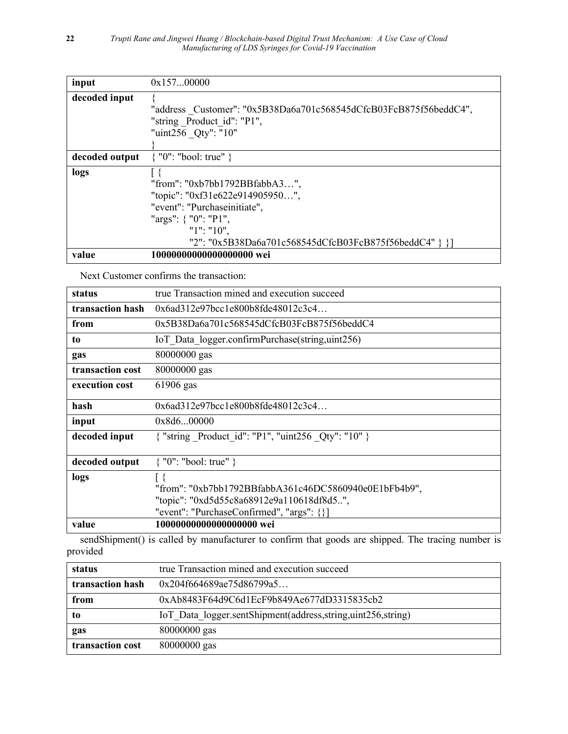| input          | 0x15700000                                                        |
|----------------|-------------------------------------------------------------------|
| decoded input  |                                                                   |
|                | "address Customer": "0x5B38Da6a701c568545dCfcB03FcB875f56beddC4", |
|                | "string Product id": "P1",                                        |
|                | "uint256 Qty": "10"                                               |
|                |                                                                   |
| decoded output | $\{$ "0": "bool: true" $\}$                                       |
| logs           |                                                                   |
|                | "from": "0xb7bb1792BBfabbA3",                                     |
|                | "topic": "0xf31e622e914905950",                                   |
|                | "event": "Purchaseinitiate",                                      |
|                | "args": $\{$ "0": "P1",                                           |
|                | " $1$ ": " $10$ ",                                                |
|                | "2": "0x5B38Da6a701c568545dCfcB03FcB875f56beddC4" } }]            |
| value          | 10000000000000000000 wei                                          |

Next Customer confirms the transaction:

| status           | true Transaction mined and execution succeed                                                                                                              |
|------------------|-----------------------------------------------------------------------------------------------------------------------------------------------------------|
| transaction hash | $0x6a d312e97bc c1e800b8fde48012c3c4$                                                                                                                     |
| from             | $0x5B38Da6a701c568545dCfcB03FcB875f56beddC4$                                                                                                              |
| to               | IoT Data logger.confirmPurchase(string,uint256)                                                                                                           |
| gas              | 80000000 gas                                                                                                                                              |
| transaction cost | 80000000 gas                                                                                                                                              |
| execution cost   | 61906 gas                                                                                                                                                 |
| hash             | 0x6a4312e97bcc1e800b8fde48012c3c4                                                                                                                         |
| input            | 0x8d600000                                                                                                                                                |
| decoded input    | { "string Product id": "P1", "uint256 Qty": "10" }                                                                                                        |
| decoded output   | $\{$ "0": "bool: true" $\}$                                                                                                                               |
| logs             | Γł<br>"from": "0xb7bb1792BBfabbA361c46DC5860940e0E1bFb4b9",<br>"topic": "0xd5d55c8a68912e9a110618df8d5",<br>"event": "PurchaseConfirmed", "args": $\{\}\$ |
| value            | 10000000000000000000 wei                                                                                                                                  |

sendShipment() is called by manufacturer to confirm that goods are shipped. The tracing number is provided

| status           | true Transaction mined and execution succeed                   |
|------------------|----------------------------------------------------------------|
| transaction hash | 0x204f664689ae75d86799a5                                       |
| from             | 0xAb8483F64d9C6d1EcF9b849Ae677dD3315835cb2                     |
| to               | IoT Data logger.sentShipment(address, string, uint256, string) |
| gas              | $80000000$ gas                                                 |
| transaction cost | 80000000 gas                                                   |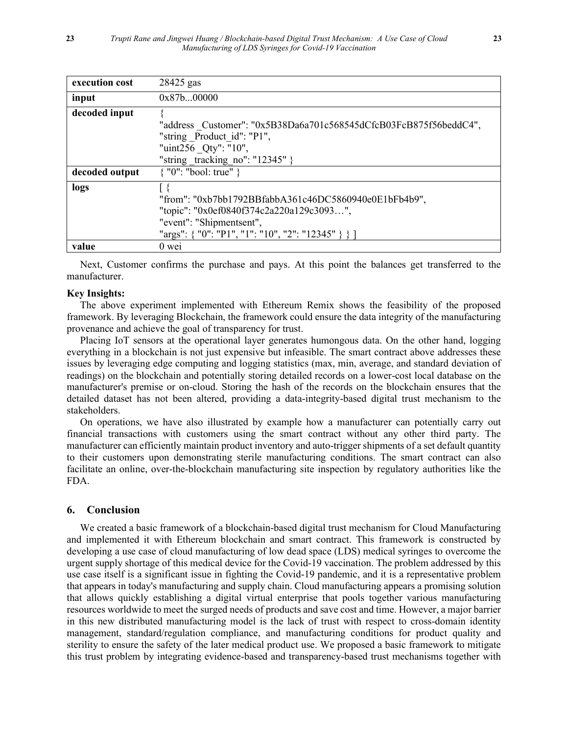| execution cost | 28425 gas                                                         |
|----------------|-------------------------------------------------------------------|
| input          | 0x87b00000                                                        |
| decoded input  |                                                                   |
|                | "address Customer": "0x5B38Da6a701c568545dCfcB03FcB875f56beddC4", |
|                | "string Product id": "P1",                                        |
|                | "uint256 Qty": "10",                                              |
|                | "string tracking no": " $12345$ " }                               |
| decoded output | $\{$ "0": "bool: true" $\}$                                       |
| logs           |                                                                   |
|                | "from": "0xb7bb1792BBfabbA361c46DC5860940e0E1bFb4b9",             |
|                | "topic": "0x0ef0840f374c2a220a129c3093",                          |
|                | "event": "Shipmentsent",                                          |
|                | "args": { "0": "P1", "1": "10", "2": "12345" } } ]                |
| value          | $0$ wei                                                           |

Next, Customer confirms the purchase and pays. At this point the balances get transferred to the manufacturer.

#### **Key Insights:**

The above experiment implemented with Ethereum Remix shows the feasibility of the proposed framework. By leveraging Blockchain, the framework could ensure the data integrity of the manufacturing provenance and achieve the goal of transparency for trust.

Placing IoT sensors at the operational layer generates humongous data. On the other hand, logging everything in a blockchain is not just expensive but infeasible. The smart contract above addresses these issues by leveraging edge computing and logging statistics (max, min, average, and standard deviation of readings) on the blockchain and potentially storing detailed records on a lower-cost local database on the manufacturer's premise or on-cloud. Storing the hash of the records on the blockchain ensures that the detailed dataset has not been altered, providing a data-integrity-based digital trust mechanism to the stakeholders.

On operations, we have also illustrated by example how a manufacturer can potentially carry out financial transactions with customers using the smart contract without any other third party. The manufacturer can efficiently maintain product inventory and auto-trigger shipments of a set default quantity to their customers upon demonstrating sterile manufacturing conditions. The smart contract can also facilitate an online, over-the-blockchain manufacturing site inspection by regulatory authorities like the FDA.

## **6. Conclusion**

We created a basic framework of a blockchain-based digital trust mechanism for Cloud Manufacturing and implemented it with Ethereum blockchain and smart contract. This framework is constructed by developing a use case of cloud manufacturing of low dead space (LDS) medical syringes to overcome the urgent supply shortage of this medical device for the Covid-19 vaccination. The problem addressed by this use case itself is a significant issue in fighting the Covid-19 pandemic, and it is a representative problem that appears in today's manufacturing and supply chain. Cloud manufacturing appears a promising solution that allows quickly establishing a digital virtual enterprise that pools together various manufacturing resources worldwide to meet the surged needs of products and save cost and time. However, a major barrier in this new distributed manufacturing model is the lack of trust with respect to cross-domain identity management, standard/regulation compliance, and manufacturing conditions for product quality and sterility to ensure the safety of the later medical product use. We proposed a basic framework to mitigate this trust problem by integrating evidence-based and transparency-based trust mechanisms together with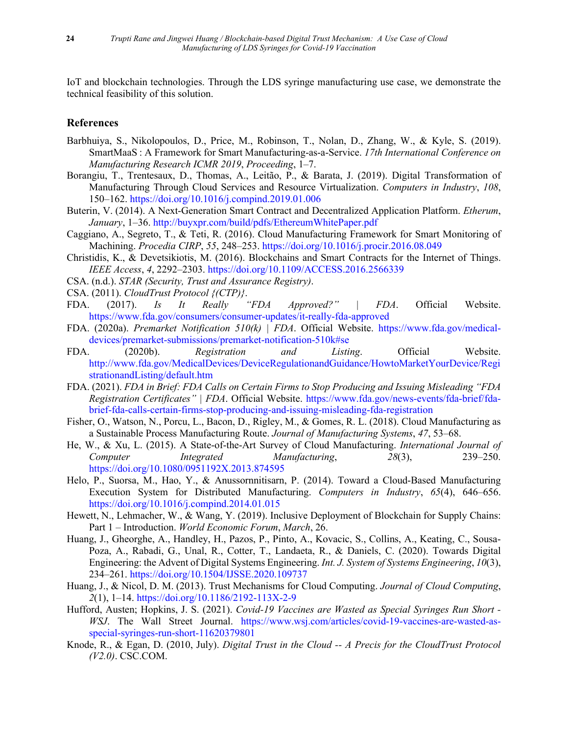IoT and blockchain technologies. Through the LDS syringe manufacturing use case, we demonstrate the technical feasibility of this solution.

# **References**

- <span id="page-23-2"></span>Barbhuiya, S., Nikolopoulos, D., Price, M., Robinson, T., Nolan, D., Zhang, W., & Kyle, S. (2019). SmartMaaS : A Framework for Smart Manufacturing-as-a-Service. *17th International Conference on Manufacturing Research ICMR 2019*, *Proceeding*, 1–7.
- <span id="page-23-1"></span>Borangiu, T., Trentesaux, D., Thomas, A., Leitão, P., & Barata, J. (2019). Digital Transformation of Manufacturing Through Cloud Services and Resource Virtualization. *Computers in Industry*, *108*, 150–162. https://doi.org/10.1016/j.compind.2019.01.006
- <span id="page-23-7"></span>Buterin, V. (2014). A Next-Generation Smart Contract and Decentralized Application Platform. *Etherum*, *January*, 1–36. http://buyxpr.com/build/pdfs/EthereumWhitePaper.pdf
- <span id="page-23-4"></span>Caggiano, A., Segreto, T., & Teti, R. (2016). Cloud Manufacturing Framework for Smart Monitoring of Machining. *Procedia CIRP*, *55*, 248–253. https://doi.org/10.1016/j.procir.2016.08.049
- <span id="page-23-12"></span>Christidis, K., & Devetsikiotis, M. (2016). Blockchains and Smart Contracts for the Internet of Things. *IEEE Access*, *4*, 2292–2303. https://doi.org/10.1109/ACCESS.2016.2566339
- <span id="page-23-9"></span>CSA. (n.d.). *STAR (Security, Trust and Assurance Registry)*.
- <span id="page-23-10"></span>CSA. (2011). *CloudTrust Protocol {(CTP)}*.
- <span id="page-23-15"></span>FDA. (2017). *Is It Really "FDA Approved?" | FDA*. Official Website. https://www.fda.gov/consumers/consumer-updates/it-really-fda-approved
- <span id="page-23-14"></span>FDA. (2020a). *Premarket Notification 510(k) | FDA*. Official Website. https://www.fda.gov/medicaldevices/premarket-submissions/premarket-notification-510k#se
- <span id="page-23-17"></span>FDA. (2020b). *Registration and Listing*. Official Website. http://www.fda.gov/MedicalDevices/DeviceRegulationandGuidance/HowtoMarketYourDevice/Regi strationandListing/default.htm
- <span id="page-23-16"></span>FDA. (2021). *FDA in Brief: FDA Calls on Certain Firms to Stop Producing and Issuing Misleading "FDA Registration Certificates" | FDA*. Official Website. https://www.fda.gov/news-events/fda-brief/fdabrief-fda-calls-certain-firms-stop-producing-and-issuing-misleading-fda-registration
- <span id="page-23-3"></span>Fisher, O., Watson, N., Porcu, L., Bacon, D., Rigley, M., & Gomes, R. L. (2018). Cloud Manufacturing as a Sustainable Process Manufacturing Route. *Journal of Manufacturing Systems*, *47*, 53–68.
- <span id="page-23-5"></span>He, W., & Xu, L. (2015). A State-of-the-Art Survey of Cloud Manufacturing. *International Journal of Computer Integrated Manufacturing*, *28*(3), 239–250. https://doi.org/10.1080/0951192X.2013.874595
- <span id="page-23-6"></span>Helo, P., Suorsa, M., Hao, Y., & Anussornnitisarn, P. (2014). Toward a Cloud-Based Manufacturing Execution System for Distributed Manufacturing. *Computers in Industry*, *65*(4), 646–656. https://doi.org/10.1016/j.compind.2014.01.015
- <span id="page-23-18"></span>Hewett, N., Lehmacher, W., & Wang, Y. (2019). Inclusive Deployment of Blockchain for Supply Chains: Part 1 – Introduction. *World Economic Forum*, *March*, 26.
- <span id="page-23-0"></span>Huang, J., Gheorghe, A., Handley, H., Pazos, P., Pinto, A., Kovacic, S., Collins, A., Keating, C., Sousa-Poza, A., Rabadi, G., Unal, R., Cotter, T., Landaeta, R., & Daniels, C. (2020). Towards Digital Engineering: the Advent of Digital Systems Engineering. *Int. J. System of Systems Engineering*, *10*(3), 234–261. https://doi.org/10.1504/IJSSE.2020.109737
- <span id="page-23-8"></span>Huang, J., & Nicol, D. M. (2013). Trust Mechanisms for Cloud Computing. *Journal of Cloud Computing*, *2*(1), 1–14. https://doi.org/10.1186/2192-113X-2-9
- <span id="page-23-13"></span>Hufford, Austen; Hopkins, J. S. (2021). *Covid-19 Vaccines are Wasted as Special Syringes Run Short - WSJ*. The Wall Street Journal. https://www.wsj.com/articles/covid-19-vaccines-are-wasted-asspecial-syringes-run-short-11620379801
- <span id="page-23-11"></span>Knode, R., & Egan, D. (2010, July). *Digital Trust in the Cloud -- A Precis for the CloudTrust Protocol (V2.0)*. CSC.COM.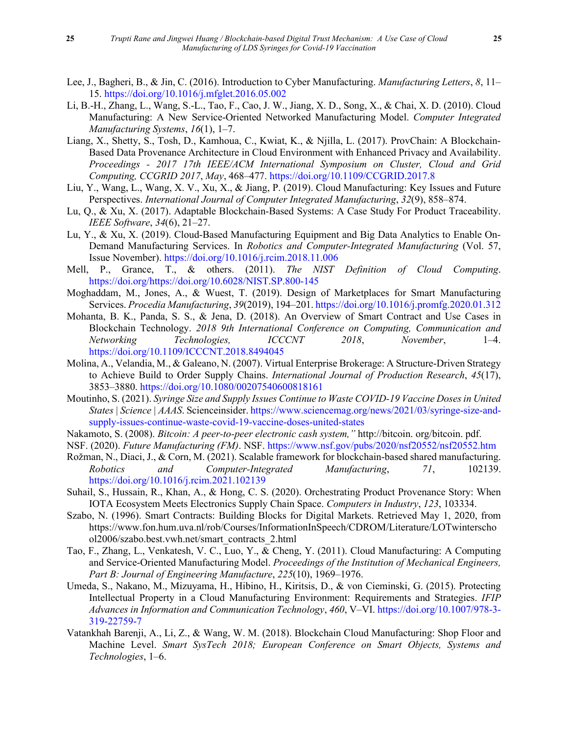- <span id="page-24-5"></span>Lee, J., Bagheri, B., & Jin, C. (2016). Introduction to Cyber Manufacturing. *Manufacturing Letters*, *8*, 11– 15. https://doi.org/10.1016/j.mfglet.2016.05.002
- <span id="page-24-2"></span>Li, B.-H., Zhang, L., Wang, S.-L., Tao, F., Cao, J. W., Jiang, X. D., Song, X., & Chai, X. D. (2010). Cloud Manufacturing: A New Service-Oriented Networked Manufacturing Model. *Computer Integrated Manufacturing Systems*, *16*(1), 1–7.
- <span id="page-24-16"></span>Liang, X., Shetty, S., Tosh, D., Kamhoua, C., Kwiat, K., & Njilla, L. (2017). ProvChain: A Blockchain-Based Data Provenance Architecture in Cloud Environment with Enhanced Privacy and Availability. *Proceedings - 2017 17th IEEE/ACM International Symposium on Cluster, Cloud and Grid Computing, CCGRID 2017*, *May*, 468–477. https://doi.org/10.1109/CCGRID.2017.8
- <span id="page-24-6"></span>Liu, Y., Wang, L., Wang, X. V., Xu, X., & Jiang, P. (2019). Cloud Manufacturing: Key Issues and Future Perspectives. *International Journal of Computer Integrated Manufacturing*, *32*(9), 858–874.
- <span id="page-24-10"></span>Lu, Q., & Xu, X. (2017). Adaptable Blockchain-Based Systems: A Case Study For Product Traceability. *IEEE Software*, *34*(6), 21–27.
- <span id="page-24-7"></span>Lu, Y., & Xu, X. (2019). Cloud-Based Manufacturing Equipment and Big Data Analytics to Enable On-Demand Manufacturing Services. In *Robotics and Computer-Integrated Manufacturing* (Vol. 57, Issue November). https://doi.org/10.1016/j.rcim.2018.11.006
- <span id="page-24-4"></span>Mell, P., Grance, T., & others. (2011). *The NIST Definition of Cloud Computing*. https://doi.org/https://doi.org/10.6028/NIST.SP.800-145
- <span id="page-24-9"></span>Moghaddam, M., Jones, A., & Wuest, T. (2019). Design of Marketplaces for Smart Manufacturing Services. *Procedia Manufacturing*, *39*(2019), 194–201. https://doi.org/10.1016/j.promfg.2020.01.312
- <span id="page-24-13"></span>Mohanta, B. K., Panda, S. S., & Jena, D. (2018). An Overview of Smart Contract and Use Cases in Blockchain Technology. *2018 9th International Conference on Computing, Communication and Networking Technologies, ICCCNT 2018*, *November*, 1–4. https://doi.org/10.1109/ICCCNT.2018.8494045
- <span id="page-24-1"></span>Molina, A., Velandia, M., & Galeano, N. (2007). Virtual Enterprise Brokerage: A Structure-Driven Strategy to Achieve Build to Order Supply Chains. *International Journal of Production Research*, *45*(17), 3853–3880. https://doi.org/10.1080/00207540600818161
- <span id="page-24-17"></span>Moutinho, S. (2021). *Syringe Size and Supply Issues Continue to Waste COVID-19 Vaccine Dosesin United States | Science | AAAS*. Scienceinsider. https://www.sciencemag.org/news/2021/03/syringe-size-andsupply-issues-continue-waste-covid-19-vaccine-doses-united-states
- Nakamoto, S. (2008). *Bitcoin: A peer-to-peer electronic cash system,"* http://bitcoin. org/bitcoin. pdf.
- <span id="page-24-0"></span>NSF. (2020). *Future Manufacturing (FM)*. NSF. https://www.nsf.gov/pubs/2020/nsf20552/nsf20552.htm
- <span id="page-24-15"></span>Rožman, N., Diaci, J., & Corn, M. (2021). Scalable framework for blockchain-based shared manufacturing. *Robotics and Computer-Integrated Manufacturing*, *71*, 102139. https://doi.org/10.1016/j.rcim.2021.102139
- <span id="page-24-11"></span>Suhail, S., Hussain, R., Khan, A., & Hong, C. S. (2020). Orchestrating Product Provenance Story: When IOTA Ecosystem Meets Electronics Supply Chain Space. *Computers in Industry*, *123*, 103334.
- <span id="page-24-12"></span>Szabo, N. (1996). Smart Contracts: Building Blocks for Digital Markets. Retrieved May 1, 2020, from https://www.fon.hum.uva.nl/rob/Courses/InformationInSpeech/CDROM/Literature/LOTwinterscho ol2006/szabo.best.vwh.net/smart\_contracts\_2.html
- <span id="page-24-3"></span>Tao, F., Zhang, L., Venkatesh, V. C., Luo, Y., & Cheng, Y. (2011). Cloud Manufacturing: A Computing and Service-Oriented Manufacturing Model. *Proceedings of the Institution of Mechanical Engineers, Part B: Journal of Engineering Manufacture*, *225*(10), 1969–1976.
- <span id="page-24-8"></span>Umeda, S., Nakano, M., Mizuyama, H., Hibino, H., Kiritsis, D., & von Cieminski, G. (2015). Protecting Intellectual Property in a Cloud Manufacturing Environment: Requirements and Strategies. *IFIP Advances in Information and Communication Technology*, *460*, V–VI. https://doi.org/10.1007/978-3- 319-22759-7
- <span id="page-24-14"></span>Vatankhah Barenji, A., Li, Z., & Wang, W. M. (2018). Blockchain Cloud Manufacturing: Shop Floor and Machine Level. *Smart SysTech 2018; European Conference on Smart Objects, Systems and Technologies*, 1–6.